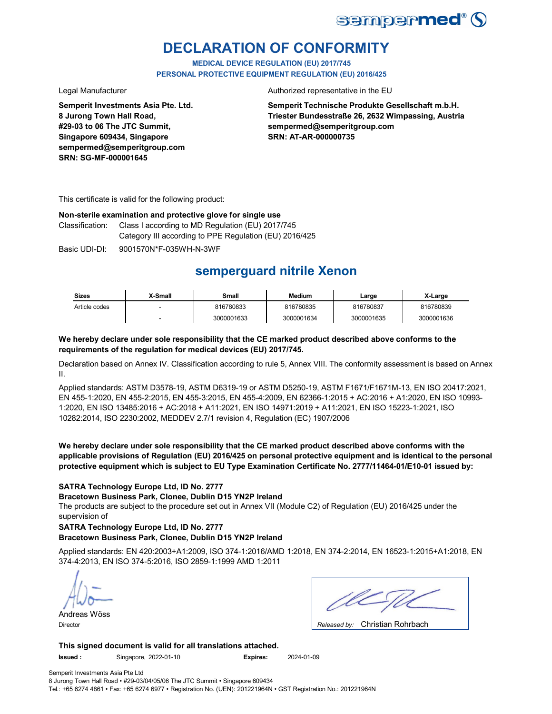

# **DECLARATION OF CONFORMITY**

**MEDICAL DEVICE REGULATION (EU) 2017/745 PERSONAL PROTECTIVE EQUIPMENT REGULATION (EU) 2016/425**

**Semperit Investments Asia Pte. Ltd. 8 Jurong Town Hall Road, #29-03 to 06 The JTC Summit, Singapore 609434, Singapore sempermed@semperitgroup.com SRN: SG-MF-000001645**

Legal Manufacturer **Authorized representative in the EU** 

**Semperit Technische Produkte Gesellschaft m.b.H. Triester Bundesstraße 26, 2632 Wimpassing, Austria sempermed@semperitgroup.com SRN: AT-AR-000000735**

This certificate is valid for the following product:

#### **Non-sterile examination and protective glove for single use**

Classification: Class I according to MD Regulation (EU) 2017/745 Category III according to PPE Regulation (EU) 2016/425

Basic UDI-DI: 9001570N\*F-035WH-N-3WF

# **semperguard nitrile Xenon**

| <b>Sizes</b>  | X-Small | Small      | <b>Medium</b> | Large      | X-Large    |
|---------------|---------|------------|---------------|------------|------------|
| Article codes |         | 816780833  | 816780835     | 816780837  | 816780839  |
|               |         | 3000001633 | 3000001634    | 3000001635 | 3000001636 |

### **We hereby declare under sole responsibility that the CE marked product described above conforms to the requirements of the regulation for medical devices (EU) 2017/745.**

Declaration based on Annex IV. Classification according to rule 5, Annex VIII. The conformity assessment is based on Annex II.

Applied standards: ASTM D3578-19, ASTM D6319-19 or ASTM D5250-19, ASTM F1671/F1671M-13, EN ISO 20417:2021, EN 455-1:2020, EN 455-2:2015, EN 455-3:2015, EN 455-4:2009, EN 62366-1:2015 + AC:2016 + A1:2020, EN ISO 10993- 1:2020, EN ISO 13485:2016 + AC:2018 + A11:2021, EN ISO 14971:2019 + A11:2021, EN ISO 15223-1:2021, ISO 10282:2014, ISO 2230:2002, MEDDEV 2.7/1 revision 4, Regulation (EC) 1907/2006

**We hereby declare under sole responsibility that the CE marked product described above conforms with the applicable provisions of Regulation (EU) 2016/425 on personal protective equipment and is identical to the personal protective equipment which is subject to EU Type Examination Certificate No. 2777/11464-01/E10-01 issued by:**

### **SATRA Technology Europe Ltd, ID No. 2777**

**Bracetown Business Park, Clonee, Dublin D15 YN2P Ireland**

The products are subject to the procedure set out in Annex VII (Module C2) of Regulation (EU) 2016/425 under the supervision of

### **SATRA Technology Europe Ltd, ID No. 2777**

### **Bracetown Business Park, Clonee, Dublin D15 YN2P Ireland**

Applied standards: EN 420:2003+A1:2009, ISO 374-1:2016/AMD 1:2018, EN 374-2:2014, EN 16523-1:2015+A1:2018, EN 374-4:2013, EN ISO 374-5:2016, ISO 2859-1:1999 AMD 1:2011

Andreas Wöss

| $\sim$ $\sim$ $\sim$ $\sim$ $\sim$ $\sim$ $\sim$<br>. . |
|---------------------------------------------------------|

Christian Rohrbach Director *Released by:* 

**This signed document is valid for all translations attached.**

**Issued :** Singapore, 2022-01-10 **Expires:** 2024-01-09

Semperit Investments Asia Pte Ltd 8 Jurong Town Hall Road • #29-03/04/05/06 The JTC Summit • Singapore 609434

Tel.: +65 6274 4861 • Fax: +65 6274 6977 • Registration No. (UEN): 201221964N • GST Registration No.: 201221964N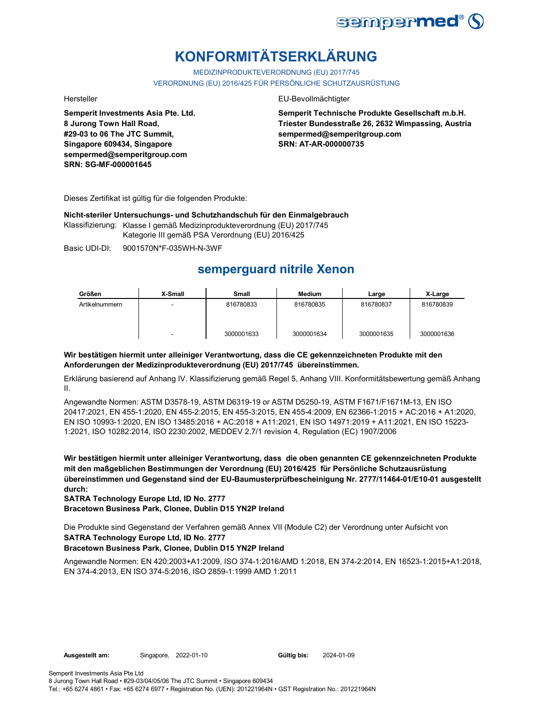

# **KONFORMITÄTSERKLÄRUNG**

MEDIZINPRODUKTEVERORDNUNG (EU) 2017/745 VERORDNUNG (EU) 2016/425 FÜR PERSÖNLICHE SCHUTZAUSRÜSTUNG

**Semperit Investments Asia Pte. Ltd. 8 Jurong Town Hall Road, #29-03 to 06 The JTC Summit, Singapore 609434, Singapore sempermed@semperitgroup.com SRN: SG-MF-000001645**

#### Hersteller EU-Bevollmächtigter

**Semperit Technische Produkte Gesellschaft m.b.H. Triester Bundesstraße 26, 2632 Wimpassing, Austria sempermed@semperitgroup.com SRN: AT-AR-000000735**

Dieses Zertifikat ist gültig für die folgenden Produkte:

**Nicht-steriler Untersuchungs- und Schutzhandschuh für den Einmalgebrauch**

Klassifizierung: Klasse I gemäß Medizinprodukteverordnung (EU) 2017/745 Kategorie III gemäß PSA Verordnung (EU) 2016/425

Basic UDI-DI: 9001570N\*F-035WH-N-3WF

# **semperguard nitrile Xenon**

| Größen         | X-Small | <b>Small</b> | <b>Medium</b> | Large      | X-Large    |
|----------------|---------|--------------|---------------|------------|------------|
| Artikelnummern |         | 816780833    | 816780835     | 816780837  | 816780839  |
|                | -       | 3000001633   | 3000001634    | 3000001635 | 3000001636 |

### **Wir bestätigen hiermit unter alleiniger Verantwortung, dass die CE gekennzeichneten Produkte mit den Anforderungen der Medizinprodukteverordnung (EU) 2017/745 übereinstimmen.**

Erklärung basierend auf Anhang IV. Klassifizierung gemäß Regel 5, Anhang VIII. Konformitätsbewertung gemäß Anhang II.

Angewandte Normen: ASTM D3578-19, ASTM D6319-19 or ASTM D5250-19, ASTM F1671/F1671M-13, EN ISO 20417:2021, EN 455-1:2020, EN 455-2:2015, EN 455-3:2015, EN 455-4:2009, EN 62366-1:2015 + AC:2016 + A1:2020, EN ISO 10993-1:2020, EN ISO 13485:2016 + AC:2018 + A11:2021, EN ISO 14971:2019 + A11:2021, EN ISO 15223- 1:2021, ISO 10282:2014, ISO 2230:2002, MEDDEV 2.7/1 revision 4, Regulation (EC) 1907/2006

**Wir bestätigen hiermit unter alleiniger Verantwortung, dass die oben genannten CE gekennzeichneten Produkte mit den maßgeblichen Bestimmungen der Verordnung (EU) 2016/425 für Persönliche Schutzausrüstung übereinstimmen und Gegenstand sind der EU-Baumusterprüfbescheinigung Nr. 2777/11464-01/E10-01 ausgestellt durch:**

**SATRA Technology Europe Ltd, ID No. 2777**

**Bracetown Business Park, Clonee, Dublin D15 YN2P Ireland**

**SATRA Technology Europe Ltd, ID No. 2777** Die Produkte sind Gegenstand der Verfahren gemäß Annex VII (Module C2) der Verordnung unter Aufsicht von

### **Bracetown Business Park, Clonee, Dublin D15 YN2P Ireland**

Angewandte Normen: EN 420:2003+A1:2009, ISO 374-1:2016/AMD 1:2018, EN 374-2:2014, EN 16523-1:2015+A1:2018, EN 374-4:2013, EN ISO 374-5:2016, ISO 2859-1:1999 AMD 1:2011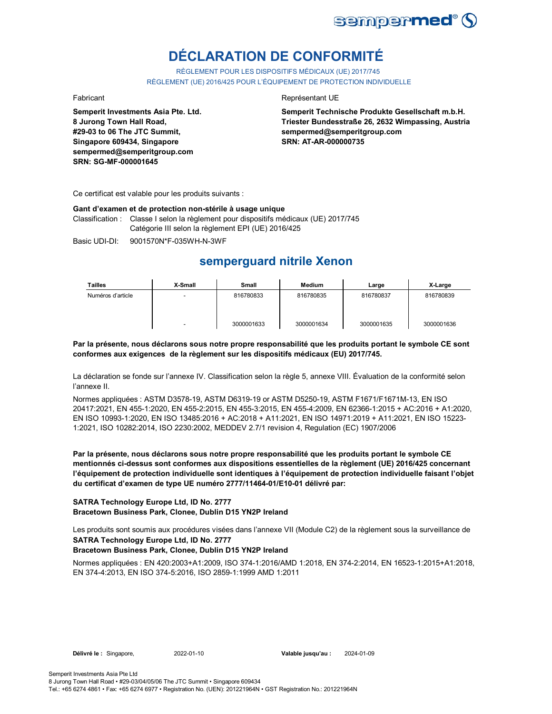

# **DÉCLARATION DE CONFORMITÉ**

RÈGLEMENT POUR LES DISPOSITIFS MÉDICAUX (UE) 2017/745 RÈGLEMENT (UE) 2016/425 POUR L'ÉQUIPEMENT DE PROTECTION INDIVIDUELLE

**Semperit Investments Asia Pte. Ltd. 8 Jurong Town Hall Road, #29-03 to 06 The JTC Summit, Singapore 609434, Singapore sempermed@semperitgroup.com SRN: SG-MF-000001645**

#### Fabricant **Representant UE**

**Semperit Technische Produkte Gesellschaft m.b.H. Triester Bundesstraße 26, 2632 Wimpassing, Austria sempermed@semperitgroup.com SRN: AT-AR-000000735**

Ce certificat est valable pour les produits suivants :

#### **Gant d'examen et de protection non-stérile à usage unique**

Classification : Classe I selon la règlement pour dispositifs médicaux (UE) 2017/745 Catégorie III selon la règlement EPI (UE) 2016/425

Basic UDI-DI: 9001570N\*F-035WH-N-3WF

## **semperguard nitrile Xenon**

| Tailles           | X-Small                  | Small      | Medium     | Large      | X-Large    |
|-------------------|--------------------------|------------|------------|------------|------------|
| Numéros d'article |                          | 816780833  | 816780835  | 816780837  | 816780839  |
|                   | $\overline{\phantom{0}}$ | 3000001633 | 3000001634 | 3000001635 | 3000001636 |

**Par la présente, nous déclarons sous notre propre responsabilité que les produits portant le symbole CE sont conformes aux exigences de la règlement sur les dispositifs médicaux (EU) 2017/745.**

La déclaration se fonde sur l'annexe IV. Classification selon la règle 5, annexe VIII. Évaluation de la conformité selon l'annexe II.

Normes appliquées : ASTM D3578-19, ASTM D6319-19 or ASTM D5250-19, ASTM F1671/F1671M-13, EN ISO 20417:2021, EN 455-1:2020, EN 455-2:2015, EN 455-3:2015, EN 455-4:2009, EN 62366-1:2015 + AC:2016 + A1:2020, EN ISO 10993-1:2020, EN ISO 13485:2016 + AC:2018 + A11:2021, EN ISO 14971:2019 + A11:2021, EN ISO 15223- 1:2021, ISO 10282:2014, ISO 2230:2002, MEDDEV 2.7/1 revision 4, Regulation (EC) 1907/2006

**Par la présente, nous déclarons sous notre propre responsabilité que les produits portant le symbole CE mentionnés ci-dessus sont conformes aux dispositions essentielles de la règlement (UE) 2016/425 concernant l'équipement de protection individuelle sont identiques à l'équipement de protection individuelle faisant l'objet du certificat d'examen de type UE numéro 2777/11464-01/E10-01 délivré par:**

#### **SATRA Technology Europe Ltd, ID No. 2777 Bracetown Business Park, Clonee, Dublin D15 YN2P Ireland**

**SATRA Technology Europe Ltd, ID No. 2777** Les produits sont soumis aux procédures visées dans l'annexe VII (Module C2) de la règlement sous la surveillance de

### **Bracetown Business Park, Clonee, Dublin D15 YN2P Ireland**

Normes appliquées : EN 420:2003+A1:2009, ISO 374-1:2016/AMD 1:2018, EN 374-2:2014, EN 16523-1:2015+A1:2018, EN 374-4:2013, EN ISO 374-5:2016, ISO 2859-1:1999 AMD 1:2011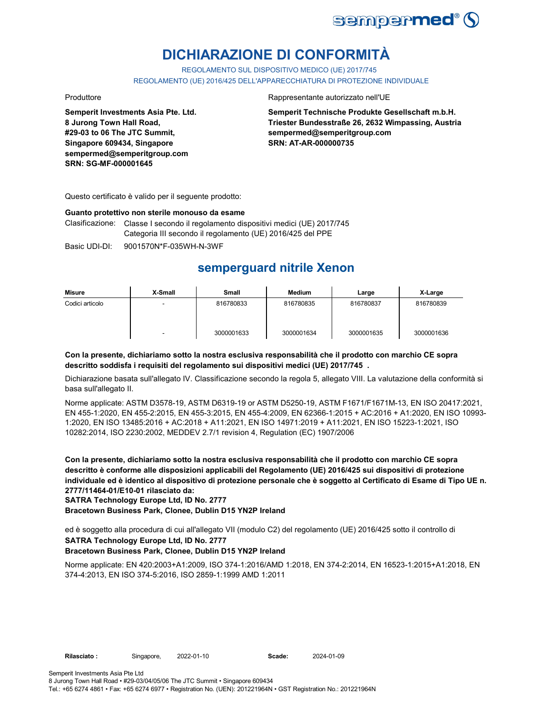

# **DICHIARAZIONE DI CONFORMITÀ**

REGOLAMENTO SUL DISPOSITIVO MEDICO (UE) 2017/745

REGOLAMENTO (UE) 2016/425 DELL'APPARECCHIATURA DI PROTEZIONE INDIVIDUALE

**Semperit Investments Asia Pte. Ltd. 8 Jurong Town Hall Road, #29-03 to 06 The JTC Summit, Singapore 609434, Singapore sempermed@semperitgroup.com SRN: SG-MF-000001645**

#### Produttore Rappresentante autorizzato nell'UE

**Semperit Technische Produkte Gesellschaft m.b.H. Triester Bundesstraße 26, 2632 Wimpassing, Austria sempermed@semperitgroup.com SRN: AT-AR-000000735**

Questo certificato è valido per il seguente prodotto:

#### **Guanto protettivo non sterile monouso da esame**

Clasificazione: Classe I secondo il regolamento dispositivi medici (UE) 2017/745 Categoria III secondo il regolamento (UE) 2016/425 del PPE

Basic UDI-DI: 9001570N\*F-035WH-N-3WF

# **semperguard nitrile Xenon**

| Misure          | X-Small                  | Small      | <b>Medium</b> | Large      | X-Large    |
|-----------------|--------------------------|------------|---------------|------------|------------|
| Codici articolo | -                        | 816780833  | 816780835     | 816780837  | 816780839  |
|                 | $\overline{\phantom{a}}$ | 3000001633 | 3000001634    | 3000001635 | 3000001636 |

#### **Con la presente, dichiariamo sotto la nostra esclusiva responsabilità che il prodotto con marchio CE sopra descritto soddisfa i requisiti del regolamento sui dispositivi medici (UE) 2017/745 .**

Dichiarazione basata sull'allegato IV. Classificazione secondo la regola 5, allegato VIII. La valutazione della conformità si basa sull'allegato II.

Norme applicate: ASTM D3578-19, ASTM D6319-19 or ASTM D5250-19, ASTM F1671/F1671M-13, EN ISO 20417:2021, EN 455-1:2020, EN 455-2:2015, EN 455-3:2015, EN 455-4:2009, EN 62366-1:2015 + AC:2016 + A1:2020, EN ISO 10993- 1:2020, EN ISO 13485:2016 + AC:2018 + A11:2021, EN ISO 14971:2019 + A11:2021, EN ISO 15223-1:2021, ISO 10282:2014, ISO 2230:2002, MEDDEV 2.7/1 revision 4, Regulation (EC) 1907/2006

**Con la presente, dichiariamo sotto la nostra esclusiva responsabilità che il prodotto con marchio CE sopra descritto è conforme alle disposizioni applicabili del Regolamento (UE) 2016/425 sui dispositivi di protezione individuale ed è identico al dispositivo di protezione personale che è soggetto al Certificato di Esame di Tipo UE n. 2777/11464-01/E10-01 rilasciato da:**

**SATRA Technology Europe Ltd, ID No. 2777**

**Bracetown Business Park, Clonee, Dublin D15 YN2P Ireland**

**SATRA Technology Europe Ltd, ID No. 2777** ed è soggetto alla procedura di cui all'allegato VII (modulo C2) del regolamento (UE) 2016/425 sotto il controllo di

### **Bracetown Business Park, Clonee, Dublin D15 YN2P Ireland**

Norme applicate: EN 420:2003+A1:2009, ISO 374-1:2016/AMD 1:2018, EN 374-2:2014, EN 16523-1:2015+A1:2018, EN 374-4:2013, EN ISO 374-5:2016, ISO 2859-1:1999 AMD 1:2011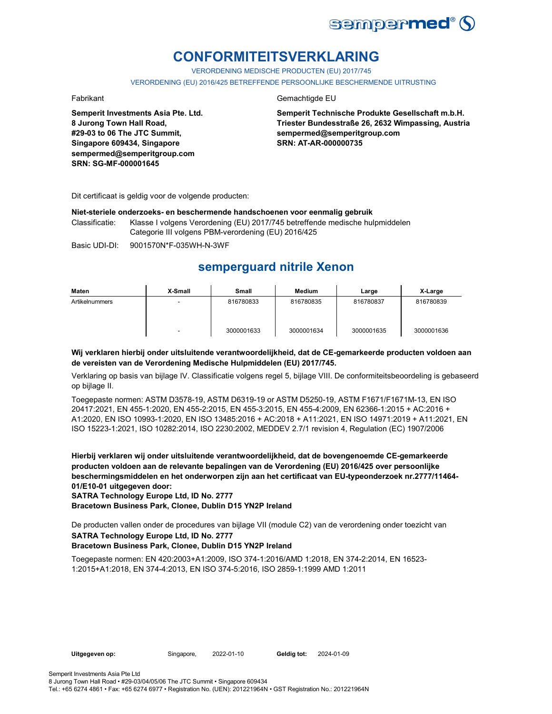

# **CONFORMITEITSVERKLARING**

VERORDENING MEDISCHE PRODUCTEN (EU) 2017/745

VERORDENING (EU) 2016/425 BETREFFENDE PERSOONLIJKE BESCHERMENDE UITRUSTING

**Semperit Investments Asia Pte. Ltd. 8 Jurong Town Hall Road, #29-03 to 06 The JTC Summit, Singapore 609434, Singapore sempermed@semperitgroup.com SRN: SG-MF-000001645**

### Fabrikant Gemachtigde EU

**Semperit Technische Produkte Gesellschaft m.b.H. Triester Bundesstraße 26, 2632 Wimpassing, Austria sempermed@semperitgroup.com SRN: AT-AR-000000735**

Dit certificaat is geldig voor de volgende producten:

#### **Niet-steriele onderzoeks- en beschermende handschoenen voor eenmalig gebruik**

Classificatie: Klasse I volgens Verordening (EU) 2017/745 betreffende medische hulpmiddelen Categorie III volgens PBM-verordening (EU) 2016/425

Basic UDI-DI: 9001570N\*F-035WH-N-3WF

## **semperguard nitrile Xenon**

| Maten          | X-Small | Small      | Medium     | Large      | X-Large    |
|----------------|---------|------------|------------|------------|------------|
| Artikelnummers |         | 816780833  | 816780835  | 816780837  | 816780839  |
|                |         | 3000001633 | 3000001634 | 3000001635 | 3000001636 |

#### **Wij verklaren hierbij onder uitsluitende verantwoordelijkheid, dat de CE-gemarkeerde producten voldoen aan de vereisten van de Verordening Medische Hulpmiddelen (EU) 2017/745.**

Verklaring op basis van bijlage IV. Classificatie volgens regel 5, bijlage VIII. De conformiteitsbeoordeling is gebaseerd op bijlage II.

Toegepaste normen: ASTM D3578-19, ASTM D6319-19 or ASTM D5250-19, ASTM F1671/F1671M-13, EN ISO 20417:2021, EN 455-1:2020, EN 455-2:2015, EN 455-3:2015, EN 455-4:2009, EN 62366-1:2015 + AC:2016 + A1:2020, EN ISO 10993-1:2020, EN ISO 13485:2016 + AC:2018 + A11:2021, EN ISO 14971:2019 + A11:2021, EN ISO 15223-1:2021, ISO 10282:2014, ISO 2230:2002, MEDDEV 2.7/1 revision 4, Regulation (EC) 1907/2006

**Hierbij verklaren wij onder uitsluitende verantwoordelijkheid, dat de bovengenoemde CE-gemarkeerde producten voldoen aan de relevante bepalingen van de Verordening (EU) 2016/425 over persoonlijke beschermingsmiddelen en het onderworpen zijn aan het certificaat van EU-typeonderzoek nr.2777/11464- 01/E10-01 uitgegeven door:**

**SATRA Technology Europe Ltd, ID No. 2777**

**Bracetown Business Park, Clonee, Dublin D15 YN2P Ireland**

**SATRA Technology Europe Ltd, ID No. 2777** De producten vallen onder de procedures van bijlage VII (module C2) van de verordening onder toezicht van

### **Bracetown Business Park, Clonee, Dublin D15 YN2P Ireland**

Toegepaste normen: EN 420:2003+A1:2009, ISO 374-1:2016/AMD 1:2018, EN 374-2:2014, EN 16523- 1:2015+A1:2018, EN 374-4:2013, EN ISO 374-5:2016, ISO 2859-1:1999 AMD 1:2011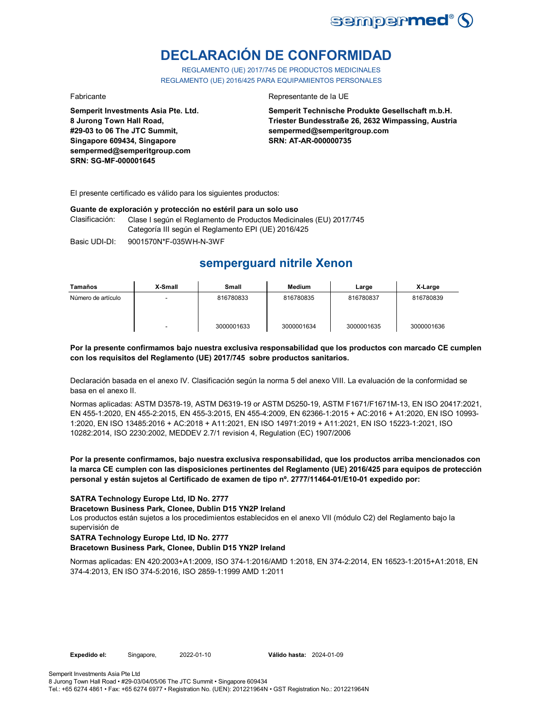

# **DECLARACIÓN DE CONFORMIDAD**

REGLAMENTO (UE) 2017/745 DE PRODUCTOS MEDICINALES REGLAMENTO (UE) 2016/425 PARA EQUIPAMIENTOS PERSONALES

**Semperit Investments Asia Pte. Ltd. 8 Jurong Town Hall Road, #29-03 to 06 The JTC Summit, Singapore 609434, Singapore sempermed@semperitgroup.com SRN: SG-MF-000001645**

#### Fabricante Representante de la UE

**Semperit Technische Produkte Gesellschaft m.b.H. Triester Bundesstraße 26, 2632 Wimpassing, Austria sempermed@semperitgroup.com SRN: AT-AR-000000735**

El presente certificado es válido para los siguientes productos:

#### **Guante de exploración y protección no estéril para un solo uso**

Clasificación: Clase I según el Reglamento de Productos Medicinales (EU) 2017/745 Categoría III según el Reglamento EPI (UE) 2016/425

Basic UDI-DI: 9001570N\*F-035WH-N-3WF 9001570N\*F-035WH-N-3W

# **semperguard nitrile Xenon**

| Tamaños            | X-Small                  | Small      | Medium     | Large      | X-Large    |
|--------------------|--------------------------|------------|------------|------------|------------|
| Número de artículo | $\overline{\phantom{a}}$ | 816780833  | 816780835  | 816780837  | 816780839  |
|                    | $\overline{\phantom{a}}$ | 3000001633 | 3000001634 | 3000001635 | 3000001636 |

#### **Por la presente confirmamos bajo nuestra exclusiva responsabilidad que los productos con marcado CE cumplen con los requisitos del Reglamento (UE) 2017/745 sobre productos sanitarios.**

Declaración basada en el anexo IV. Clasificación según la norma 5 del anexo VIII. La evaluación de la conformidad se basa en el anexo II.

Normas aplicadas: ASTM D3578-19, ASTM D6319-19 or ASTM D5250-19, ASTM F1671/F1671M-13, EN ISO 20417:2021, EN 455-1:2020, EN 455-2:2015, EN 455-3:2015, EN 455-4:2009, EN 62366-1:2015 + AC:2016 + A1:2020, EN ISO 10993- 1:2020, EN ISO 13485:2016 + AC:2018 + A11:2021, EN ISO 14971:2019 + A11:2021, EN ISO 15223-1:2021, ISO 10282:2014, ISO 2230:2002, MEDDEV 2.7/1 revision 4, Regulation (EC) 1907/2006

#### **Por la presente confirmamos, bajo nuestra exclusiva responsabilidad, que los productos arriba mencionados con la marca CE cumplen con las disposiciones pertinentes del Reglamento (UE) 2016/425 para equipos de protección personal y están sujetos al Certificado de examen de tipo nº. 2777/11464-01/E10-01 expedido por:**

### **SATRA Technology Europe Ltd, ID No. 2777**

#### **Bracetown Business Park, Clonee, Dublin D15 YN2P Ireland**

Los productos están sujetos a los procedimientos establecidos en el anexo VII (módulo C2) del Reglamento bajo la supervisión de

#### **SATRA Technology Europe Ltd, ID No. 2777**

#### **Bracetown Business Park, Clonee, Dublin D15 YN2P Ireland**

Normas aplicadas: EN 420:2003+A1:2009, ISO 374-1:2016/AMD 1:2018, EN 374-2:2014, EN 16523-1:2015+A1:2018, EN 374-4:2013, EN ISO 374-5:2016, ISO 2859-1:1999 AMD 1:2011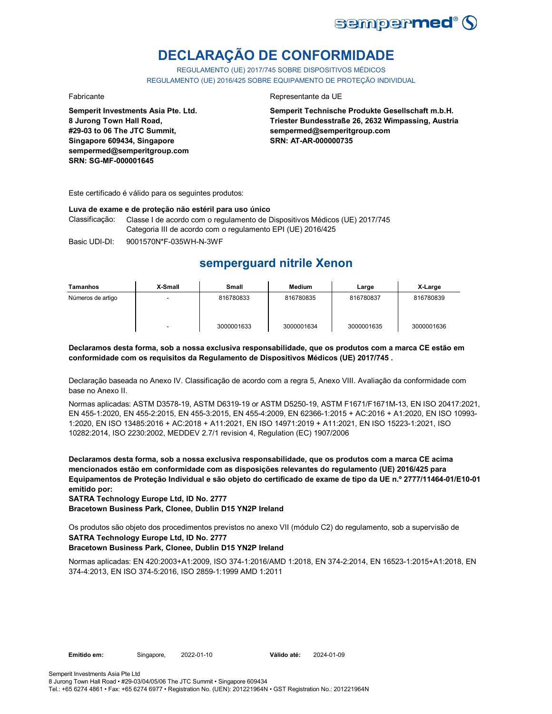

# **DECLARAÇÃO DE CONFORMIDADE**

REGULAMENTO (UE) 2017/745 SOBRE DISPOSITIVOS MÉDICOS REGULAMENTO (UE) 2016/425 SOBRE EQUIPAMENTO DE PROTEÇÃO INDIVIDUAL

**Semperit Investments Asia Pte. Ltd. 8 Jurong Town Hall Road, #29-03 to 06 The JTC Summit, Singapore 609434, Singapore sempermed@semperitgroup.com SRN: SG-MF-000001645**

#### Fabricante Representante da UE

**Semperit Technische Produkte Gesellschaft m.b.H. Triester Bundesstraße 26, 2632 Wimpassing, Austria sempermed@semperitgroup.com SRN: AT-AR-000000735**

Este certificado é válido para os seguintes produtos:

#### **Luva de exame e de proteção não estéril para uso único**

Classificação: Classe I de acordo com o regulamento de Dispositivos Médicos (UE) 2017/745 Categoria III de acordo com o regulamento EPI (UE) 2016/425

Basic UDI-DI: 9001570N\*F-035WH-N-3WF 9001570N\*F-035WH-N-3W

# **semperguard nitrile Xenon**

| Tamanhos          | X-Small | Small      | <b>Medium</b> | Large      | X-Large    |
|-------------------|---------|------------|---------------|------------|------------|
| Números de artigo |         | 816780833  | 816780835     | 816780837  | 816780839  |
|                   |         | 3000001633 | 3000001634    | 3000001635 | 3000001636 |

#### **Declaramos desta forma, sob a nossa exclusiva responsabilidade, que os produtos com a marca CE estão em conformidade com os requisitos da Regulamento de Dispositivos Médicos (UE) 2017/745 .**

Declaração baseada no Anexo IV. Classificação de acordo com a regra 5, Anexo VIII. Avaliação da conformidade com base no Anexo II.

Normas aplicadas: ASTM D3578-19, ASTM D6319-19 or ASTM D5250-19, ASTM F1671/F1671M-13, EN ISO 20417:2021, EN 455-1:2020, EN 455-2:2015, EN 455-3:2015, EN 455-4:2009, EN 62366-1:2015 + AC:2016 + A1:2020, EN ISO 10993- 1:2020, EN ISO 13485:2016 + AC:2018 + A11:2021, EN ISO 14971:2019 + A11:2021, EN ISO 15223-1:2021, ISO 10282:2014, ISO 2230:2002, MEDDEV 2.7/1 revision 4, Regulation (EC) 1907/2006

**Declaramos desta forma, sob a nossa exclusiva responsabilidade, que os produtos com a marca CE acima mencionados estão em conformidade com as disposições relevantes do regulamento (UE) 2016/425 para Equipamentos de Proteção Individual e são objeto do certificado de exame de tipo da UE n.º 2777/11464-01/E10-01 emitido por:**

**SATRA Technology Europe Ltd, ID No. 2777**

**Bracetown Business Park, Clonee, Dublin D15 YN2P Ireland**

**SATRA Technology Europe Ltd, ID No. 2777** Os produtos são objeto dos procedimentos previstos no anexo VII (módulo C2) do regulamento, sob a supervisão de

### **Bracetown Business Park, Clonee, Dublin D15 YN2P Ireland**

Normas aplicadas: EN 420:2003+A1:2009, ISO 374-1:2016/AMD 1:2018, EN 374-2:2014, EN 16523-1:2015+A1:2018, EN 374-4:2013, EN ISO 374-5:2016, ISO 2859-1:1999 AMD 1:2011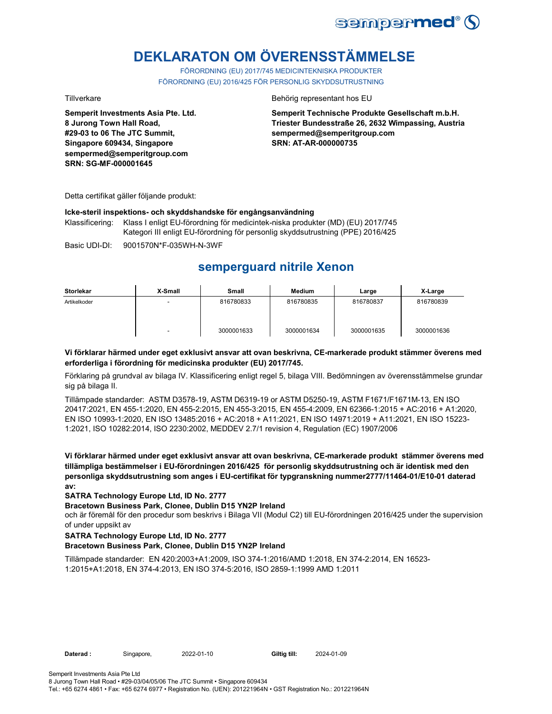

# **DEKLARATON OM ÖVERENSSTÄMMELSE**

FÖRORDNING (EU) 2017/745 MEDICINTEKNISKA PRODUKTER FÖRORDNING (EU) 2016/425 FÖR PERSONLIG SKYDDSUTRUSTNING

**Semperit Investments Asia Pte. Ltd. 8 Jurong Town Hall Road, #29-03 to 06 The JTC Summit, Singapore 609434, Singapore sempermed@semperitgroup.com SRN: SG-MF-000001645**

#### Tillverkare Behörig representant hos EU

**Semperit Technische Produkte Gesellschaft m.b.H. Triester Bundesstraße 26, 2632 Wimpassing, Austria sempermed@semperitgroup.com SRN: AT-AR-000000735**

Detta certifikat gäller följande produkt:

#### **Icke-steril inspektions- och skyddshandske för engångsanvändning**

Klassificering: Klass I enligt EU-förordning för medicintek-niska produkter (MD) (EU) 2017/745 Kategori III enligt EU-förordning för personlig skyddsutrustning (PPE) 2016/425

Basic UDI-DI: 9001570N\*F-035WH-N-3WF

# **semperguard nitrile Xenon**

| <b>Storlekar</b> | X-Small | <b>Small</b> | <b>Medium</b> | Large      | X-Large    |
|------------------|---------|--------------|---------------|------------|------------|
| Artikelkoder     |         | 816780833    | 816780835     | 816780837  | 816780839  |
|                  | -       | 3000001633   | 3000001634    | 3000001635 | 3000001636 |

### **Vi förklarar härmed under eget exklusivt ansvar att ovan beskrivna, CE-markerade produkt stämmer överens med erforderliga i förordning för medicinska produkter (EU) 2017/745.**

Förklaring på grundval av bilaga IV. Klassificering enligt regel 5, bilaga VIII. Bedömningen av överensstämmelse grundar sig på bilaga II.

Tillämpade standarder: ASTM D3578-19, ASTM D6319-19 or ASTM D5250-19, ASTM F1671/F1671M-13, EN ISO 20417:2021, EN 455-1:2020, EN 455-2:2015, EN 455-3:2015, EN 455-4:2009, EN 62366-1:2015 + AC:2016 + A1:2020, EN ISO 10993-1:2020, EN ISO 13485:2016 + AC:2018 + A11:2021, EN ISO 14971:2019 + A11:2021, EN ISO 15223- 1:2021, ISO 10282:2014, ISO 2230:2002, MEDDEV 2.7/1 revision 4, Regulation (EC) 1907/2006

**Vi förklarar härmed under eget exklusivt ansvar att ovan beskrivna, CE-markerade produkt stämmer överens med tillämpliga bestämmelser i EU-förordningen 2016/425 för personlig skyddsutrustning och är identisk med den personliga skyddsutrustning som anges i EU-certifikat för typgranskning nummer2777/11464-01/E10-01 daterad av:**

### **SATRA Technology Europe Ltd, ID No. 2777**

### **Bracetown Business Park, Clonee, Dublin D15 YN2P Ireland**

och är föremål för den procedur som beskrivs i Bilaga VII (Modul C2) till EU-förordningen 2016/425 under the supervision of under uppsikt av

### **SATRA Technology Europe Ltd, ID No. 2777**

### **Bracetown Business Park, Clonee, Dublin D15 YN2P Ireland**

Tillämpade standarder: EN 420:2003+A1:2009, ISO 374-1:2016/AMD 1:2018, EN 374-2:2014, EN 16523- 1:2015+A1:2018, EN 374-4:2013, EN ISO 374-5:2016, ISO 2859-1:1999 AMD 1:2011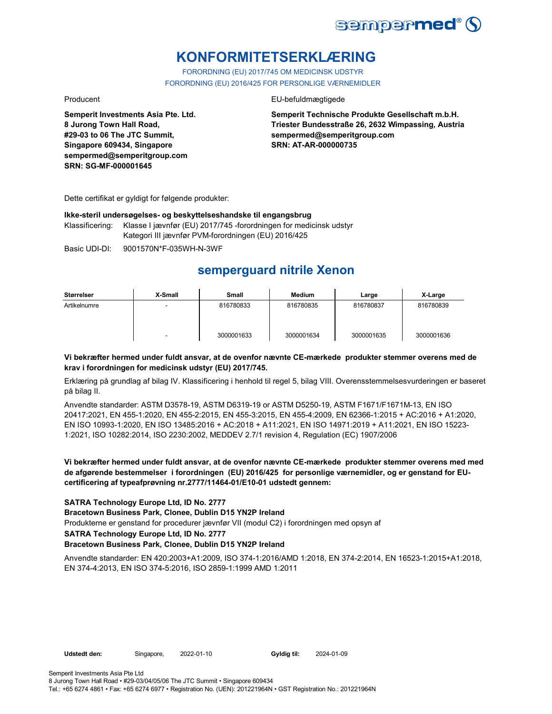

# **KONFORMITETSERKLÆRING**

FORORDNING (EU) 2017/745 OM MEDICINSK UDSTYR FORORDNING (EU) 2016/425 FOR PERSONLIGE VÆRNEMIDLER

**Semperit Investments Asia Pte. Ltd. 8 Jurong Town Hall Road, #29-03 to 06 The JTC Summit, Singapore 609434, Singapore sempermed@semperitgroup.com SRN: SG-MF-000001645**

#### Producent EU-befuldmægtigede

**Semperit Technische Produkte Gesellschaft m.b.H. Triester Bundesstraße 26, 2632 Wimpassing, Austria sempermed@semperitgroup.com SRN: AT-AR-000000735**

Dette certifikat er gyldigt for følgende produkter:

#### **Ikke-steril undersøgelses- og beskyttelseshandske til engangsbrug**

Klassificering: Klasse I jævnfør (EU) 2017/745 -forordningen for medicinsk udstyr Kategori III jævnfør PVM-forordningen (EU) 2016/425

Basic UDI-DI: 9001570N\*F-035WH-N-3WF

# **semperguard nitrile Xenon**

| Størrelser   | X-Small | Small      | <b>Medium</b> | Large      | X-Large    |
|--------------|---------|------------|---------------|------------|------------|
| Artikelnumre | $\sim$  | 816780833  | 816780835     | 816780837  | 816780839  |
|              | -       | 3000001633 | 3000001634    | 3000001635 | 3000001636 |

### **Vi bekræfter hermed under fuldt ansvar, at de ovenfor nævnte CE-mærkede produkter stemmer overens med de krav i forordningen for medicinsk udstyr (EU) 2017/745.**

Erklæring på grundlag af bilag IV. Klassificering i henhold til regel 5, bilag VIII. Overensstemmelsesvurderingen er baseret på bilag II.

Anvendte standarder: ASTM D3578-19, ASTM D6319-19 or ASTM D5250-19, ASTM F1671/F1671M-13, EN ISO 20417:2021, EN 455-1:2020, EN 455-2:2015, EN 455-3:2015, EN 455-4:2009, EN 62366-1:2015 + AC:2016 + A1:2020, EN ISO 10993-1:2020, EN ISO 13485:2016 + AC:2018 + A11:2021, EN ISO 14971:2019 + A11:2021, EN ISO 15223- 1:2021, ISO 10282:2014, ISO 2230:2002, MEDDEV 2.7/1 revision 4, Regulation (EC) 1907/2006

### **Vi bekræfter hermed under fuldt ansvar, at de ovenfor nævnte CE-mærkede produkter stemmer overens med med de afgørende bestemmelser i forordningen (EU) 2016/425 for personlige værnemidler, og er genstand for EUcertificering af typeafprøvning nr.2777/11464-01/E10-01 udstedt gennem:**

### **SATRA Technology Europe Ltd, ID No. 2777**

#### **Bracetown Business Park, Clonee, Dublin D15 YN2P Ireland**

Produkterne er genstand for procedurer jævnfør VII (modul C2) i forordningen med opsyn af

#### **SATRA Technology Europe Ltd, ID No. 2777**

#### **Bracetown Business Park, Clonee, Dublin D15 YN2P Ireland**

Anvendte standarder: EN 420:2003+A1:2009, ISO 374-1:2016/AMD 1:2018, EN 374-2:2014, EN 16523-1:2015+A1:2018, EN 374-4:2013, EN ISO 374-5:2016, ISO 2859-1:1999 AMD 1:2011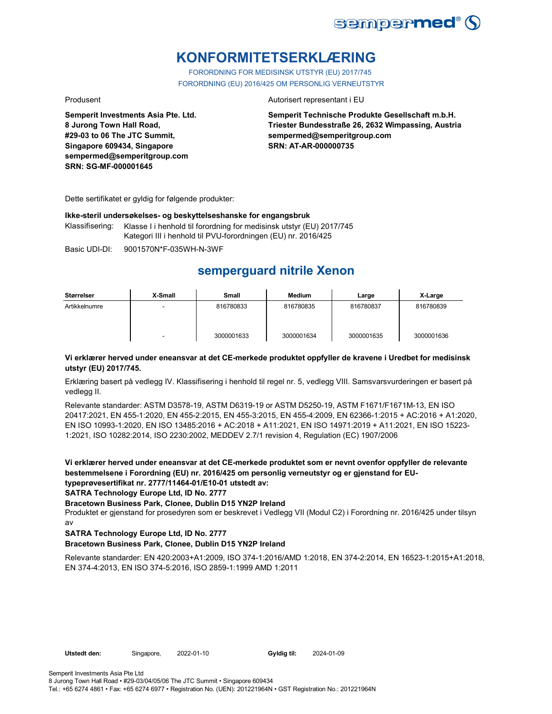

# **KONFORMITETSERKLÆRING**

FORORDNING FOR MEDISINSK UTSTYR (EU) 2017/745 FORORDNING (EU) 2016/425 OM PERSONLIG VERNEUTSTYR

**Semperit Investments Asia Pte. Ltd. 8 Jurong Town Hall Road, #29-03 to 06 The JTC Summit, Singapore 609434, Singapore sempermed@semperitgroup.com SRN: SG-MF-000001645**

#### Produsent **Autorisert representant i EU**

**Semperit Technische Produkte Gesellschaft m.b.H. Triester Bundesstraße 26, 2632 Wimpassing, Austria sempermed@semperitgroup.com SRN: AT-AR-000000735**

Dette sertifikatet er gyldig for følgende produkter:

#### **Ikke-steril undersøkelses- og beskyttelseshanske for engangsbruk**

Klassifisering: Klasse I i henhold til forordning for medisinsk utstyr (EU) 2017/745 Kategori III i henhold til PVU-forordningen (EU) nr. 2016/425

Basic UDI-DI: 9001570N\*F-035WH-N-3WF

# **semperguard nitrile Xenon**

| Størrelser    | X-Small | Small      | <b>Medium</b> | Large      | X-Large    |
|---------------|---------|------------|---------------|------------|------------|
| Artikkelnumre |         | 816780833  | 816780835     | 816780837  | 816780839  |
|               | -       | 3000001633 | 3000001634    | 3000001635 | 3000001636 |

#### **Vi erklærer herved under eneansvar at det CE-merkede produktet oppfyller de kravene i Uredbet for medisinsk utstyr (EU) 2017/745.**

Erklæring basert på vedlegg IV. Klassifisering i henhold til regel nr. 5, vedlegg VIII. Samsvarsvurderingen er basert på vedlegg II.

Relevante standarder: ASTM D3578-19, ASTM D6319-19 or ASTM D5250-19, ASTM F1671/F1671M-13, EN ISO 20417:2021, EN 455-1:2020, EN 455-2:2015, EN 455-3:2015, EN 455-4:2009, EN 62366-1:2015 + AC:2016 + A1:2020, EN ISO 10993-1:2020, EN ISO 13485:2016 + AC:2018 + A11:2021, EN ISO 14971:2019 + A11:2021, EN ISO 15223- 1:2021, ISO 10282:2014, ISO 2230:2002, MEDDEV 2.7/1 revision 4, Regulation (EC) 1907/2006

**Vi erklærer herved under eneansvar at det CE-merkede produktet som er nevnt ovenfor oppfyller de relevante bestemmelsene i Forordning (EU) nr. 2016/425 om personlig verneutstyr og er gjenstand for EUtypeprøvesertifikat nr. 2777/11464-01/E10-01 utstedt av:**

**SATRA Technology Europe Ltd, ID No. 2777**

**Bracetown Business Park, Clonee, Dublin D15 YN2P Ireland**

Produktet er gjenstand for prosedyren som er beskrevet i Vedlegg VII (Modul C2) i Forordning nr. 2016/425 under tilsyn av

### **SATRA Technology Europe Ltd, ID No. 2777**

### **Bracetown Business Park, Clonee, Dublin D15 YN2P Ireland**

Relevante standarder: EN 420:2003+A1:2009, ISO 374-1:2016/AMD 1:2018, EN 374-2:2014, EN 16523-1:2015+A1:2018, EN 374-4:2013, EN ISO 374-5:2016, ISO 2859-1:1999 AMD 1:2011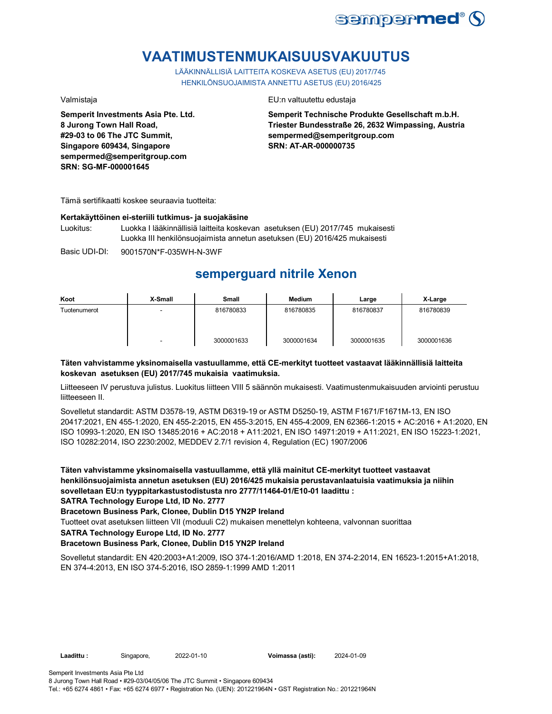

# **VAATIMUSTENMUKAISUUSVAKUUTUS**

LÄÄKINNÄLLISIÄ LAITTEITA KOSKEVA ASETUS (EU) 2017/745 HENKILÖNSUOJAIMISTA ANNETTU ASETUS (EU) 2016/425

**Semperit Investments Asia Pte. Ltd. 8 Jurong Town Hall Road, #29-03 to 06 The JTC Summit, Singapore 609434, Singapore sempermed@semperitgroup.com SRN: SG-MF-000001645**

#### Valmistaja EU:n valtuutettu edustaja

**Semperit Technische Produkte Gesellschaft m.b.H. Triester Bundesstraße 26, 2632 Wimpassing, Austria sempermed@semperitgroup.com SRN: AT-AR-000000735**

Tämä sertifikaatti koskee seuraavia tuotteita:

#### **Kertakäyttöinen ei-steriili tutkimus- ja suojakäsine**

Luokitus: Luokka I lääkinnällisiä laitteita koskevan asetuksen (EU) 2017/745 mukaisesti Luokka III henkilönsuojaimista annetun asetuksen (EU) 2016/425 mukaisesti

Basic UDI-DI: 9001570N\*F-035WH-N-3WF 9001570N\*F-035WH-N-3W

# **semperguard nitrile Xenon**

| Koot         | X-Small | Small      | <b>Medium</b> | Large      | X-Large    |
|--------------|---------|------------|---------------|------------|------------|
| Tuotenumerot | -       | 816780833  | 816780835     | 816780837  | 816780839  |
|              | -       | 3000001633 | 3000001634    | 3000001635 | 3000001636 |

### **Täten vahvistamme yksinomaisella vastuullamme, että CE-merkityt tuotteet vastaavat lääkinnällisiä laitteita koskevan asetuksen (EU) 2017/745 mukaisia vaatimuksia.**

Liitteeseen IV perustuva julistus. Luokitus liitteen VIII 5 säännön mukaisesti. Vaatimustenmukaisuuden arviointi perustuu liitteeseen II.

Sovelletut standardit: ASTM D3578-19, ASTM D6319-19 or ASTM D5250-19, ASTM F1671/F1671M-13, EN ISO 20417:2021, EN 455-1:2020, EN 455-2:2015, EN 455-3:2015, EN 455-4:2009, EN 62366-1:2015 + AC:2016 + A1:2020, EN ISO 10993-1:2020, EN ISO 13485:2016 + AC:2018 + A11:2021, EN ISO 14971:2019 + A11:2021, EN ISO 15223-1:2021, ISO 10282:2014, ISO 2230:2002, MEDDEV 2.7/1 revision 4, Regulation (EC) 1907/2006

**Täten vahvistamme yksinomaisella vastuullamme, että yllä mainitut CE-merkityt tuotteet vastaavat henkilönsuojaimista annetun asetuksen (EU) 2016/425 mukaisia perustavanlaatuisia vaatimuksia ja niihin sovelletaan EU:n tyyppitarkastustodistusta nro 2777/11464-01/E10-01 laadittu :**

**SATRA Technology Europe Ltd, ID No. 2777**

**Bracetown Business Park, Clonee, Dublin D15 YN2P Ireland**

Tuotteet ovat asetuksen liitteen VII (moduuli C2) mukaisen menettelyn kohteena, valvonnan suorittaa

**SATRA Technology Europe Ltd, ID No. 2777**

### **Bracetown Business Park, Clonee, Dublin D15 YN2P Ireland**

Sovelletut standardit: EN 420:2003+A1:2009, ISO 374-1:2016/AMD 1:2018, EN 374-2:2014, EN 16523-1:2015+A1:2018, EN 374-4:2013, EN ISO 374-5:2016, ISO 2859-1:1999 AMD 1:2011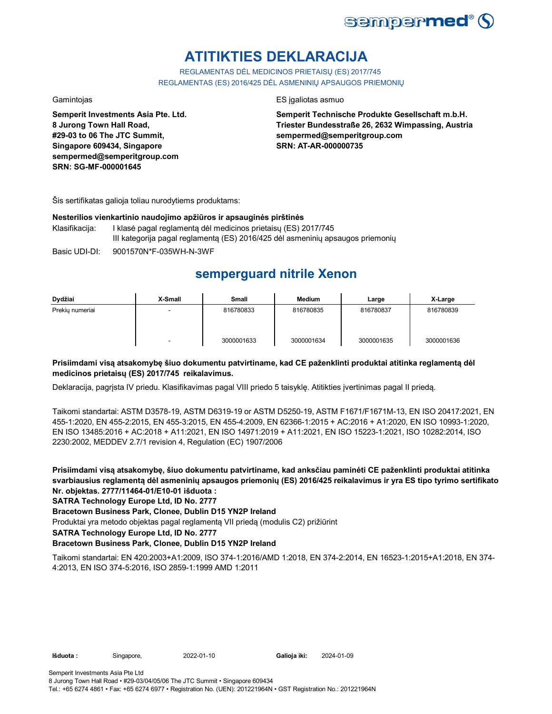

# **ATITIKTIES DEKLARACIJA**

REGLAMENTAS DĖL MEDICINOS PRIETAISŲ (ES) 2017/745 REGLAMENTAS (ES) 2016/425 DĖL ASMENINIŲ APSAUGOS PRIEMONIŲ

**Semperit Investments Asia Pte. Ltd. 8 Jurong Town Hall Road, #29-03 to 06 The JTC Summit, Singapore 609434, Singapore sempermed@semperitgroup.com SRN: SG-MF-000001645**

#### Gamintojas ES įgaliotas asmuo

**Semperit Technische Produkte Gesellschaft m.b.H. Triester Bundesstraße 26, 2632 Wimpassing, Austria sempermed@semperitgroup.com SRN: AT-AR-000000735**

Šis sertifikatas galioja toliau nurodytiems produktams:

#### **Nesterilios vienkartinio naudojimo apžiūros ir apsauginės pirštinės**

- Klasifikacija: I klasė pagal reglamentą dėl medicinos prietaisų (ES) 2017/745 III kategorija pagal reglamentą (ES) 2016/425 dėl asmeninių apsaugos priemonių
- Basic UDI-DI: 9001570N\*F-035WH-N-3WF 9001570N\*F-035WH-N-3W

# **semperguard nitrile Xenon**

| Dydžiai         | X-Small | <b>Small</b> | <b>Medium</b> | Large      | X-Large    |
|-----------------|---------|--------------|---------------|------------|------------|
| Prekiu numeriai | -       | 816780833    | 816780835     | 816780837  | 816780839  |
|                 |         | 3000001633   | 3000001634    | 3000001635 | 3000001636 |

### **Prisiimdami visą atsakomybę šiuo dokumentu patvirtiname, kad CE paženklinti produktai atitinka reglamentą dėl medicinos prietaisų (ES) 2017/745 reikalavimus.**

Deklaracija, pagrįsta IV priedu. Klasifikavimas pagal VIII priedo 5 taisyklę. Atitikties įvertinimas pagal II priedą.

Taikomi standartai: ASTM D3578-19, ASTM D6319-19 or ASTM D5250-19, ASTM F1671/F1671M-13, EN ISO 20417:2021, EN 455-1:2020, EN 455-2:2015, EN 455-3:2015, EN 455-4:2009, EN 62366-1:2015 + AC:2016 + A1:2020, EN ISO 10993-1:2020, EN ISO 13485:2016 + AC:2018 + A11:2021, EN ISO 14971:2019 + A11:2021, EN ISO 15223-1:2021, ISO 10282:2014, ISO 2230:2002, MEDDEV 2.7/1 revision 4, Regulation (EC) 1907/2006

**Prisiimdami visą atsakomybę, šiuo dokumentu patvirtiname, kad anksčiau paminėti CE paženklinti produktai atitinka svarbiausius reglamentą dėl asmeninių apsaugos priemonių (ES) 2016/425 reikalavimus ir yra ES tipo tyrimo sertifikato Nr. objektas. 2777/11464-01/E10-01 išduota :**

### **SATRA Technology Europe Ltd, ID No. 2777**

**Bracetown Business Park, Clonee, Dublin D15 YN2P Ireland**

Produktai yra metodo objektas pagal reglamentą VII priedą (modulis C2) prižiūrint

**SATRA Technology Europe Ltd, ID No. 2777**

### **Bracetown Business Park, Clonee, Dublin D15 YN2P Ireland**

Taikomi standartai: EN 420:2003+A1:2009, ISO 374-1:2016/AMD 1:2018, EN 374-2:2014, EN 16523-1:2015+A1:2018, EN 374- 4:2013, EN ISO 374-5:2016, ISO 2859-1:1999 AMD 1:2011

**Išduota :** Singapore, 2022-01-10 **Galioja iki:** 2024-01-09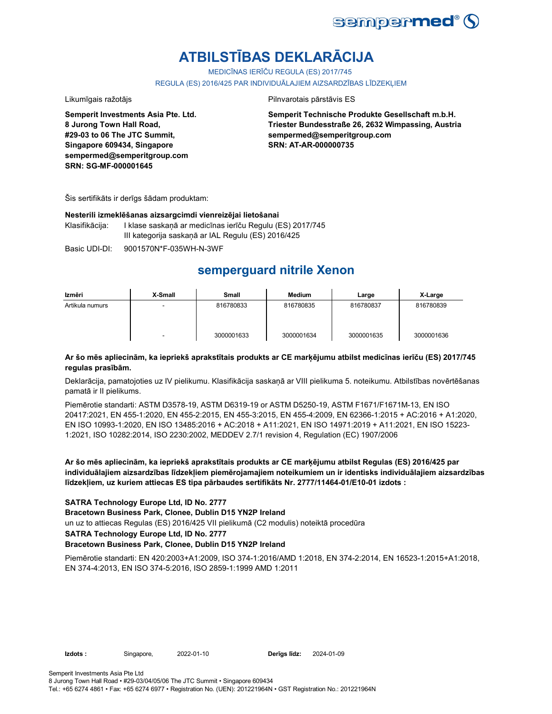

# **ATBILSTĪBAS DEKLARĀCIJA**

MEDICĪNAS IERĪČU REGULA (ES) 2017/745

REGULA (ES) 2016/425 PAR INDIVIDUĀLAJIEM AIZSARDZĪBAS LĪDZEKLIEM

Likumīgais ražotājs **Pilnvarotais pārstāvis ES** 

**Semperit Investments Asia Pte. Ltd. 8 Jurong Town Hall Road, #29-03 to 06 The JTC Summit, Singapore 609434, Singapore sempermed@semperitgroup.com SRN: SG-MF-000001645**

**Semperit Technische Produkte Gesellschaft m.b.H. Triester Bundesstraße 26, 2632 Wimpassing, Austria sempermed@semperitgroup.com SRN: AT-AR-000000735**

Šis sertifikāts ir derīgs šādam produktam:

#### **Nesterili izmeklēšanas aizsargcimdi vienreizējai lietošanai**

Klasifikācija: I klase saskaņā ar medicīnas ierīču Regulu (ES) 2017/745 III kategorija saskaņā ar IAL Regulu (ES) 2016/425

Basic UDI-DI: 9001570N\*F-035WH-N-3WF

# **semperguard nitrile Xenon**

| Izmēri          | X-Small | Small      | Medium     | Large      | X-Large    |
|-----------------|---------|------------|------------|------------|------------|
| Artikula numurs |         | 816780833  | 816780835  | 816780837  | 816780839  |
|                 |         | 3000001633 | 3000001634 | 3000001635 | 3000001636 |

### **Ar šo mēs apliecinām, ka iepriekš aprakstītais produkts ar CE marķējumu atbilst medicīnas ierīču (ES) 2017/745 regulas prasībām.**

Deklarācija, pamatojoties uz IV pielikumu. Klasifikācija saskaņā ar VIII pielikuma 5. noteikumu. Atbilstības novērtēšanas pamatā ir II pielikums.

Piemērotie standarti: ASTM D3578-19, ASTM D6319-19 or ASTM D5250-19, ASTM F1671/F1671M-13, EN ISO 20417:2021, EN 455-1:2020, EN 455-2:2015, EN 455-3:2015, EN 455-4:2009, EN 62366-1:2015 + AC:2016 + A1:2020, EN ISO 10993-1:2020, EN ISO 13485:2016 + AC:2018 + A11:2021, EN ISO 14971:2019 + A11:2021, EN ISO 15223- 1:2021, ISO 10282:2014, ISO 2230:2002, MEDDEV 2.7/1 revision 4, Regulation (EC) 1907/2006

**Ar šo mēs apliecinām, ka iepriekš aprakstītais produkts ar CE marķējumu atbilst Regulas (ES) 2016/425 par individuālajiem aizsardzības līdzekļiem piemērojamajiem noteikumiem un ir identisks individuālajiem aizsardzības līdzekļiem, uz kuriem attiecas ES tipa pārbaudes sertifikāts Nr. 2777/11464-01/E10-01 izdots :**

### **SATRA Technology Europe Ltd, ID No. 2777**

**Bracetown Business Park, Clonee, Dublin D15 YN2P Ireland**

un uz to attiecas Regulas (ES) 2016/425 VII pielikumā (C2 modulis) noteiktā procedūra

#### **SATRA Technology Europe Ltd, ID No. 2777**

#### **Bracetown Business Park, Clonee, Dublin D15 YN2P Ireland**

Piemērotie standarti: EN 420:2003+A1:2009, ISO 374-1:2016/AMD 1:2018, EN 374-2:2014, EN 16523-1:2015+A1:2018, EN 374-4:2013, EN ISO 374-5:2016, ISO 2859-1:1999 AMD 1:2011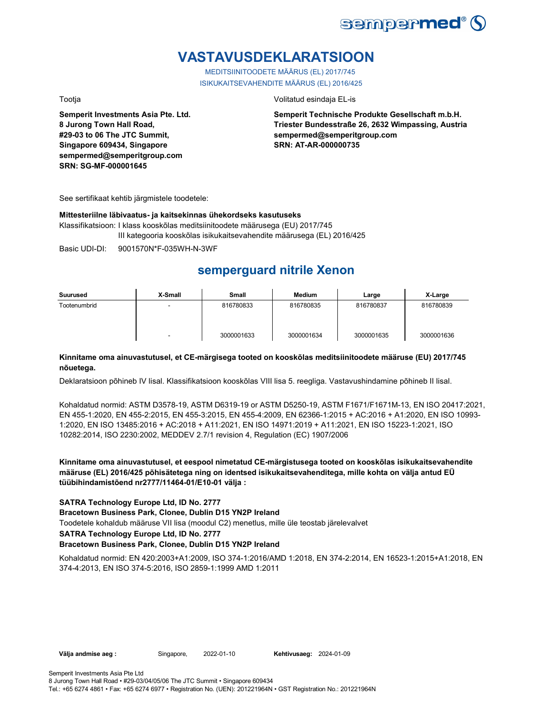

# **VASTAVUSDEKLARATSIOON**

MEDITSIINITOODETE MÄÄRUS (EL) 2017/745 ISIKUKAITSEVAHENDITE MÄÄRUS (EL) 2016/425

**Semperit Investments Asia Pte. Ltd. 8 Jurong Town Hall Road, #29-03 to 06 The JTC Summit, Singapore 609434, Singapore sempermed@semperitgroup.com SRN: SG-MF-000001645**

Tootja Volitatud esindaja EL-is

**Semperit Technische Produkte Gesellschaft m.b.H. Triester Bundesstraße 26, 2632 Wimpassing, Austria sempermed@semperitgroup.com SRN: AT-AR-000000735**

See sertifikaat kehtib järgmistele toodetele:

#### **Mittesteriilne läbivaatus- ja kaitsekinnas ühekordseks kasutuseks**

Klassifikatsioon: I klass kooskõlas meditsiinitoodete määrusega (EU) 2017/745 III kategooria kooskõlas isikukaitsevahendite määrusega (EL) 2016/425

Basic UDI-DI: 9001570N\*F-035WH-N-3WF

# **semperguard nitrile Xenon**

| Suurused     | X-Small | Small      | Medium     | Large      | X-Large    |
|--------------|---------|------------|------------|------------|------------|
| Tootenumbrid | -       | 816780833  | 816780835  | 816780837  | 816780839  |
|              | ۰       | 3000001633 | 3000001634 | 3000001635 | 3000001636 |

### **Kinnitame oma ainuvastutusel, et CE-märgisega tooted on kooskõlas meditsiinitoodete määruse (EU) 2017/745 nõuetega.**

Deklaratsioon põhineb IV lisal. Klassifikatsioon kooskõlas VIII lisa 5. reegliga. Vastavushindamine põhineb II lisal.

Kohaldatud normid: ASTM D3578-19, ASTM D6319-19 or ASTM D5250-19, ASTM F1671/F1671M-13, EN ISO 20417:2021, EN 455-1:2020, EN 455-2:2015, EN 455-3:2015, EN 455-4:2009, EN 62366-1:2015 + AC:2016 + A1:2020, EN ISO 10993- 1:2020, EN ISO 13485:2016 + AC:2018 + A11:2021, EN ISO 14971:2019 + A11:2021, EN ISO 15223-1:2021, ISO 10282:2014, ISO 2230:2002, MEDDEV 2.7/1 revision 4, Regulation (EC) 1907/2006

**Kinnitame oma ainuvastutusel, et eespool nimetatud CE-märgistusega tooted on kooskõlas isikukaitsevahendite määruse (EL) 2016/425 põhisätetega ning on identsed isikukaitsevahenditega, mille kohta on välja antud EÜ tüübihindamistõend nr2777/11464-01/E10-01 välja :**

### **SATRA Technology Europe Ltd, ID No. 2777**

**Bracetown Business Park, Clonee, Dublin D15 YN2P Ireland**

Toodetele kohaldub määruse VII lisa (moodul C2) menetlus, mille üle teostab järelevalvet

**SATRA Technology Europe Ltd, ID No. 2777**

#### **Bracetown Business Park, Clonee, Dublin D15 YN2P Ireland**

Kohaldatud normid: EN 420:2003+A1:2009, ISO 374-1:2016/AMD 1:2018, EN 374-2:2014, EN 16523-1:2015+A1:2018, EN 374-4:2013, EN ISO 374-5:2016, ISO 2859-1:1999 AMD 1:2011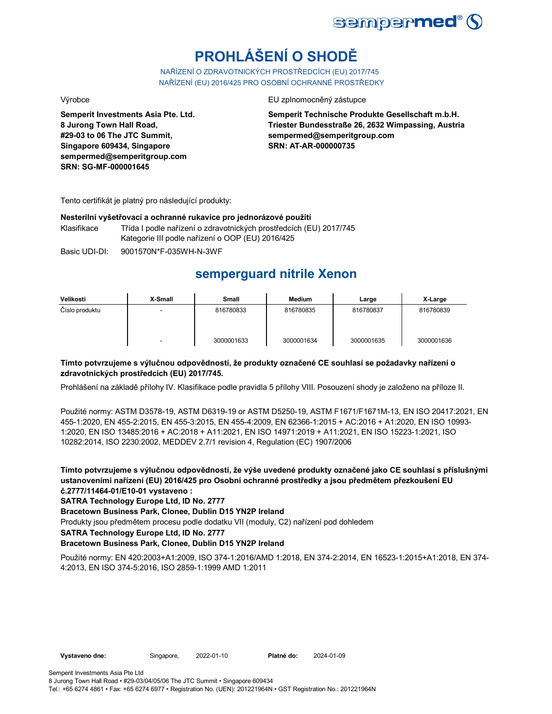

# **PROHLÁŠENÍ O SHODĚ**

NAŘÍZENÍ O ZDRAVOTNICKÝCH PROSTŘEDCÍCH (EU) 2017/745 NAŘÍZENÍ (EU) 2016/425 PRO OSOBNÍ OCHRANNÉ PROSTŘEDKY

**Semperit Investments Asia Pte. Ltd. 8 Jurong Town Hall Road, #29-03 to 06 The JTC Summit, Singapore 609434, Singapore sempermed@semperitgroup.com SRN: SG-MF-000001645**

Výrobce EU zplnomocněný zástupce

**Semperit Technische Produkte Gesellschaft m.b.H. Triester Bundesstraße 26, 2632 Wimpassing, Austria sempermed@semperitgroup.com SRN: AT-AR-000000735**

Tento certifikát je platný pro následující produkty:

#### **Nesterilní vyšetřovací a ochranné rukavice pro jednorázové použití**

Klasifikace Třída I podle nařízení o zdravotnických prostředcích (EU) 2017/745 Kategorie III podle nařízení o OOP (EU) 2016/425

Basic UDI-DI: 9001570N\*F-035WH-N-3WF

## **semperguard nitrile Xenon**

| Velikosti      | X-Small | Small      | <b>Medium</b> | Large      | X-Large    |
|----------------|---------|------------|---------------|------------|------------|
| Číslo produktu | -       | 816780833  | 816780835     | 816780837  | 816780839  |
|                | -       | 3000001633 | 3000001634    | 3000001635 | 3000001636 |

### **Tímto potvrzujeme s výlučnou odpovědností, že produkty označené CE souhlasí se požadavky nařízení o zdravotnických prostředcích (EU) 2017/745.**

Prohlášení na základě přílohy IV. Klasifikace podle pravidla 5 přílohy VIII. Posouzení shody je založeno na příloze II.

Použité normy: ASTM D3578-19, ASTM D6319-19 or ASTM D5250-19, ASTM F1671/F1671M-13, EN ISO 20417:2021, EN 455-1:2020, EN 455-2:2015, EN 455-3:2015, EN 455-4:2009, EN 62366-1:2015 + AC:2016 + A1:2020, EN ISO 10993- 1:2020, EN ISO 13485:2016 + AC:2018 + A11:2021, EN ISO 14971:2019 + A11:2021, EN ISO 15223-1:2021, ISO 10282:2014, ISO 2230:2002, MEDDEV 2.7/1 revision 4, Regulation (EC) 1907/2006

**Tímto potvrzujeme s výlučnou odpovědností, že výše uvedené produkty označené jako CE souhlasí s příslušnými ustanoveními nařízení (EU) 2016/425 pro Osobní ochranné prostředky a jsou předmětem přezkoušení EU č.2777/11464-01/E10-01 vystaveno :**

**SATRA Technology Europe Ltd, ID No. 2777**

**Bracetown Business Park, Clonee, Dublin D15 YN2P Ireland**

Produkty jsou předmětem procesu podle dodatku VII (moduly, C2) nařízení pod dohledem

**SATRA Technology Europe Ltd, ID No. 2777**

### **Bracetown Business Park, Clonee, Dublin D15 YN2P Ireland**

Použité normy: EN 420:2003+A1:2009, ISO 374-1:2016/AMD 1:2018, EN 374-2:2014, EN 16523-1:2015+A1:2018, EN 374- 4:2013, EN ISO 374-5:2016, ISO 2859-1:1999 AMD 1:2011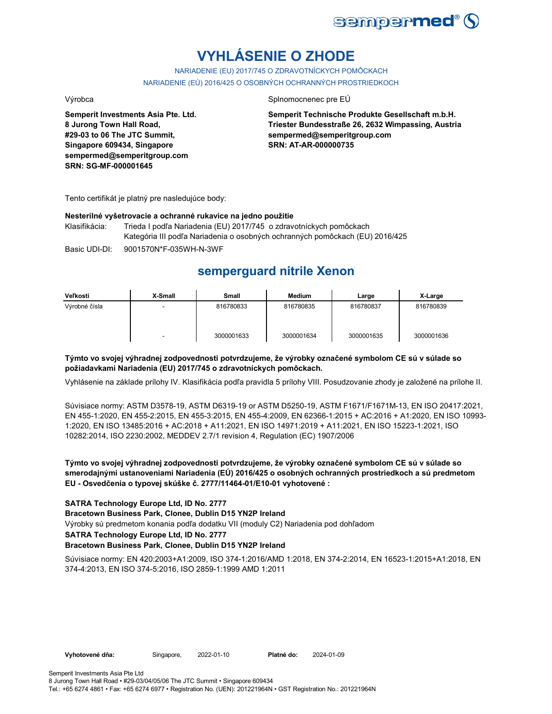

# **VYHLÁSENIE O ZHODE**

NARIADENIE (EU) 2017/745 O ZDRAVOTNÍCKYCH POMÔCKACH NARIADENIE (EÚ) 2016/425 O OSOBNÝCH OCHRANNÝCH PROSTRIEDKOCH

**Semperit Investments Asia Pte. Ltd. 8 Jurong Town Hall Road, #29-03 to 06 The JTC Summit, Singapore 609434, Singapore sempermed@semperitgroup.com SRN: SG-MF-000001645**

#### Výrobca Splnomocnenec pre EÚ

**Semperit Technische Produkte Gesellschaft m.b.H. Triester Bundesstraße 26, 2632 Wimpassing, Austria sempermed@semperitgroup.com SRN: AT-AR-000000735**

Tento certifikát je platný pre nasledujúce body:

#### **Nesterilné vyšetrovacie a ochranné rukavice na jedno použitie**

Klasifikácia: Trieda I podľa Nariadenia (EU) 2017/745 o zdravotníckych pomôckach Kategória III podľa Nariadenia o osobných ochranných pomôckach (EU) 2016/425

Basic UDI-DI: 9001570N\*F-035WH-N-3WF

# **semperguard nitrile Xenon**

| Veľkosti      | X-Small | Small      | <b>Medium</b> | Large      | X-Large    |
|---------------|---------|------------|---------------|------------|------------|
| Výrobné čísla |         | 816780833  | 816780835     | 816780837  | 816780839  |
|               | -       | 3000001633 | 3000001634    | 3000001635 | 3000001636 |

### **Týmto vo svojej výhradnej zodpovednosti potvrdzujeme, že výrobky označené symbolom CE sú v súlade so požiadavkami Nariadenia (EU) 2017/745 o zdravotníckych pomôckach.**

Vyhlásenie na základe prílohy IV. Klasifikácia podľa pravidla 5 prílohy VIII. Posudzovanie zhody je založené na prílohe II.

Súvisiace normy: ASTM D3578-19, ASTM D6319-19 or ASTM D5250-19, ASTM F1671/F1671M-13, EN ISO 20417:2021, EN 455-1:2020, EN 455-2:2015, EN 455-3:2015, EN 455-4:2009, EN 62366-1:2015 + AC:2016 + A1:2020, EN ISO 10993- 1:2020, EN ISO 13485:2016 + AC:2018 + A11:2021, EN ISO 14971:2019 + A11:2021, EN ISO 15223-1:2021, ISO 10282:2014, ISO 2230:2002, MEDDEV 2.7/1 revision 4, Regulation (EC) 1907/2006

### **Týmto vo svojej výhradnej zodpovednosti potvrdzujeme, že výrobky označené symbolom CE sú v súlade so smerodajnými ustanoveniami Nariadenia (EÚ) 2016/425 o osobných ochranných prostriedkoch a sú predmetom EU - Osvedčenia o typovej skúške č. 2777/11464-01/E10-01 vyhotovené :**

### **SATRA Technology Europe Ltd, ID No. 2777**

**Bracetown Business Park, Clonee, Dublin D15 YN2P Ireland**

Výrobky sú predmetom konania podľa dodatku VII (moduly C2) Nariadenia pod dohľadom

### **SATRA Technology Europe Ltd, ID No. 2777**

#### **Bracetown Business Park, Clonee, Dublin D15 YN2P Ireland**

Súvisiace normy: EN 420:2003+A1:2009, ISO 374-1:2016/AMD 1:2018, EN 374-2:2014, EN 16523-1:2015+A1:2018, EN 374-4:2013, EN ISO 374-5:2016, ISO 2859-1:1999 AMD 1:2011

**Vyhotovené dňa:** Singapore, 2022-01-10 **Platné do:** 2024-01-09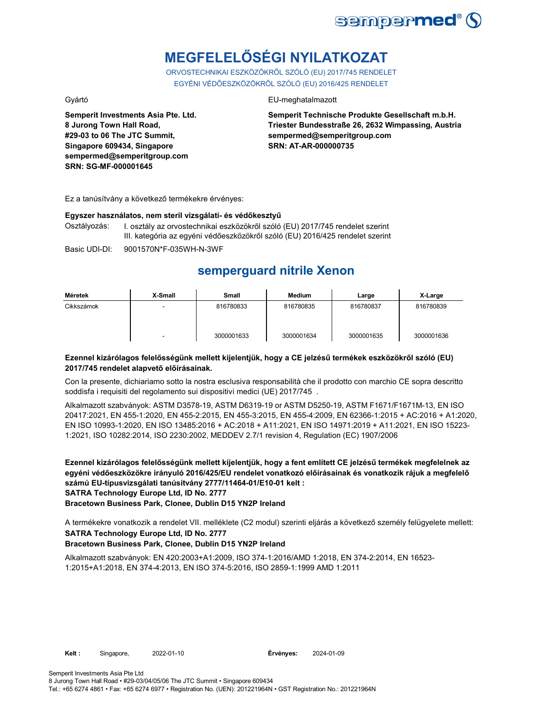

# **MEGFELELŐSÉGI NYILATKOZAT**

ORVOSTECHNIKAI ESZKÖZÖKRŐL SZÓLÓ (EU) 2017/745 RENDELET EGYÉNI VÉDŐESZKÖZÖKRŐL SZÓLÓ (EU) 2016/425 RENDELET

**Semperit Investments Asia Pte. Ltd. 8 Jurong Town Hall Road, #29-03 to 06 The JTC Summit, Singapore 609434, Singapore sempermed@semperitgroup.com SRN: SG-MF-000001645**

### Gyártó EU-meghatalmazott

**Semperit Technische Produkte Gesellschaft m.b.H. Triester Bundesstraße 26, 2632 Wimpassing, Austria sempermed@semperitgroup.com SRN: AT-AR-000000735**

Ez a tanúsítvány a következő termékekre érvényes:

#### **Egyszer használatos, nem steril vizsgálati- és védőkesztyű**

Osztályozás: I. osztály az orvostechnikai eszközökről szóló (EU) 2017/745 rendelet szerint III. kategória az egyéni védőeszközökről szóló (EU) 2016/425 rendelet szerint

Basic UDI-DI: 9001570N\*F-035WH-N-3WF

# **semperguard nitrile Xenon**

| Méretek    | X-Small                  | Small      | Medium     | Large      | X-Large    |
|------------|--------------------------|------------|------------|------------|------------|
| Cikkszámok |                          | 816780833  | 816780835  | 816780837  | 816780839  |
|            | $\overline{\phantom{0}}$ | 3000001633 | 3000001634 | 3000001635 | 3000001636 |

### **Ezennel kizárólagos felelősségünk mellett kijelentjük, hogy a CE jelzésű termékek eszközökről szóló (EU) 2017/745 rendelet alapvető előírásainak.**

Con la presente, dichiariamo sotto la nostra esclusiva responsabilità che il prodotto con marchio CE sopra descritto soddisfa i requisiti del regolamento sui dispositivi medici (UE) 2017/745 .

Alkalmazott szabványok: ASTM D3578-19, ASTM D6319-19 or ASTM D5250-19, ASTM F1671/F1671M-13, EN ISO 20417:2021, EN 455-1:2020, EN 455-2:2015, EN 455-3:2015, EN 455-4:2009, EN 62366-1:2015 + AC:2016 + A1:2020, EN ISO 10993-1:2020, EN ISO 13485:2016 + AC:2018 + A11:2021, EN ISO 14971:2019 + A11:2021, EN ISO 15223- 1:2021, ISO 10282:2014, ISO 2230:2002, MEDDEV 2.7/1 revision 4, Regulation (EC) 1907/2006

**Ezennel kizárólagos felelősségünk mellett kijelentjük, hogy a fent említett CE jelzésű termékek megfelelnek az egyéni védőeszközökre irányuló 2016/425/EU rendelet vonatkozó előírásainak és vonatkozik rájuk a megfelelő számú EU-típusvizsgálati tanúsítvány 2777/11464-01/E10-01 kelt : SATRA Technology Europe Ltd, ID No. 2777**

**Bracetown Business Park, Clonee, Dublin D15 YN2P Ireland**

**SATRA Technology Europe Ltd, ID No. 2777** A termékekre vonatkozik a rendelet VII. melléklete (C2 modul) szerinti eljárás a következő személy felügyelete mellett:

### **Bracetown Business Park, Clonee, Dublin D15 YN2P Ireland**

Alkalmazott szabványok: EN 420:2003+A1:2009, ISO 374-1:2016/AMD 1:2018, EN 374-2:2014, EN 16523- 1:2015+A1:2018, EN 374-4:2013, EN ISO 374-5:2016, ISO 2859-1:1999 AMD 1:2011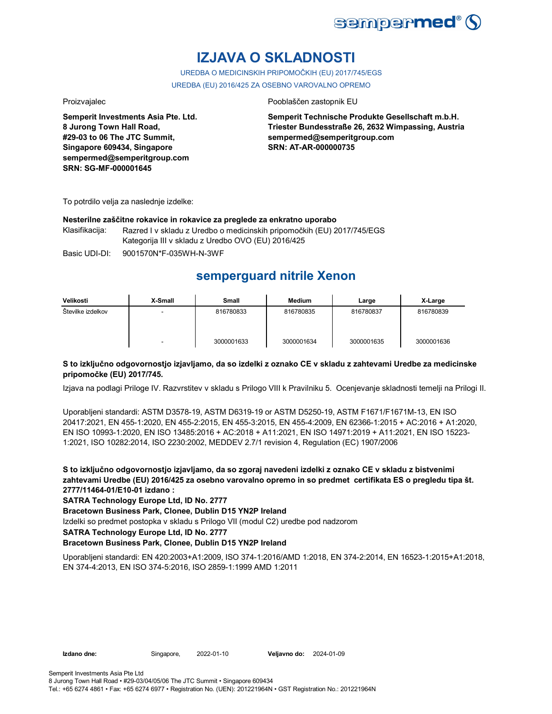

# **IZJAVA O SKLADNOSTI**

UREDBA O MEDICINSKIH PRIPOMOČKIH (EU) 2017/745/EGS UREDBA (EU) 2016/425 ZA OSEBNO VAROVALNO OPREMO

**Semperit Investments Asia Pte. Ltd. 8 Jurong Town Hall Road, #29-03 to 06 The JTC Summit, Singapore 609434, Singapore sempermed@semperitgroup.com SRN: SG-MF-000001645**

#### Proizvajalec Pooblaščen zastopnik EU

**Semperit Technische Produkte Gesellschaft m.b.H. Triester Bundesstraße 26, 2632 Wimpassing, Austria sempermed@semperitgroup.com SRN: AT-AR-000000735**

To potrdilo velja za naslednje izdelke:

#### **Nesterilne zaščitne rokavice in rokavice za preglede za enkratno uporabo**

Klasifikacija: Razred I v skladu z Uredbo o medicinskih pripomočkih (EU) 2017/745/EGS Kategorija III v skladu z Uredbo OVO (EU) 2016/425

Basic UDI-DI: 9001570N\*F-035WH-N-3WF

# **semperguard nitrile Xenon**

| Velikosti         | X-Small                  | Small      | <b>Medium</b> | Large      | X-Large    |
|-------------------|--------------------------|------------|---------------|------------|------------|
| Številke izdelkov |                          | 816780833  | 816780835     | 816780837  | 816780839  |
|                   | $\overline{\phantom{0}}$ | 3000001633 | 3000001634    | 3000001635 | 3000001636 |

### **S to izključno odgovornostjo izjavljamo, da so izdelki z oznako CE v skladu z zahtevami Uredbe za medicinske pripomočke (EU) 2017/745.**

Izjava na podlagi Priloge IV. Razvrstitev v skladu s Prilogo VIII k Pravilniku 5. Ocenjevanje skladnosti temelji na Prilogi II.

Uporabljeni standardi: ASTM D3578-19, ASTM D6319-19 or ASTM D5250-19, ASTM F1671/F1671M-13, EN ISO 20417:2021, EN 455-1:2020, EN 455-2:2015, EN 455-3:2015, EN 455-4:2009, EN 62366-1:2015 + AC:2016 + A1:2020, EN ISO 10993-1:2020, EN ISO 13485:2016 + AC:2018 + A11:2021, EN ISO 14971:2019 + A11:2021, EN ISO 15223- 1:2021, ISO 10282:2014, ISO 2230:2002, MEDDEV 2.7/1 revision 4, Regulation (EC) 1907/2006

**S to izključno odgovornostjo izjavljamo, da so zgoraj navedeni izdelki z oznako CE v skladu z bistvenimi zahtevami Uredbe (EU) 2016/425 za osebno varovalno opremo in so predmet certifikata ES o pregledu tipa št. 2777/11464-01/E10-01 izdano :**

**SATRA Technology Europe Ltd, ID No. 2777**

**Bracetown Business Park, Clonee, Dublin D15 YN2P Ireland**

Izdelki so predmet postopka v skladu s Prilogo VII (modul C2) uredbe pod nadzorom

**SATRA Technology Europe Ltd, ID No. 2777**

### **Bracetown Business Park, Clonee, Dublin D15 YN2P Ireland**

Uporabljeni standardi: EN 420:2003+A1:2009, ISO 374-1:2016/AMD 1:2018, EN 374-2:2014, EN 16523-1:2015+A1:2018, EN 374-4:2013, EN ISO 374-5:2016, ISO 2859-1:1999 AMD 1:2011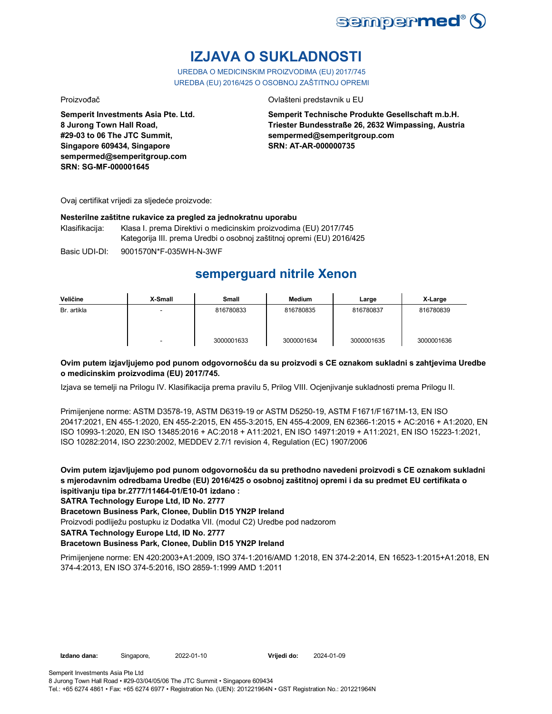

# **IZJAVA O SUKLADNOSTI**

UREDBA O MEDICINSKIM PROIZVODIMA (EU) 2017/745 UREDBA (EU) 2016/425 O OSOBNOJ ZAŠTITNOJ OPREMI

Proizvođač Ovlašteni predstavnik u EU

**Semperit Investments Asia Pte. Ltd. 8 Jurong Town Hall Road, #29-03 to 06 The JTC Summit, Singapore 609434, Singapore sempermed@semperitgroup.com SRN: SG-MF-000001645**

**Semperit Technische Produkte Gesellschaft m.b.H. Triester Bundesstraße 26, 2632 Wimpassing, Austria sempermed@semperitgroup.com SRN: AT-AR-000000735**

Ovaj certifikat vrijedi za sljedeće proizvode:

#### **Nesterilne zaštitne rukavice za pregled za jednokratnu uporabu**

Klasifikacija: Klasa I. prema Direktivi o medicinskim proizvodima (EU) 2017/745 Kategorija III. prema Uredbi o osobnoj zaštitnoj opremi (EU) 2016/425

Basic UDI-DI: 9001570N\*F-035WH-N-3WF

# **semperguard nitrile Xenon**

| Veličine    | X-Small | Small      | <b>Medium</b> | Large      | X-Large    |
|-------------|---------|------------|---------------|------------|------------|
| Br. artikla |         | 816780833  | 816780835     | 816780837  | 816780839  |
|             | -       | 3000001633 | 3000001634    | 3000001635 | 3000001636 |

### **Ovim putem izjavljujemo pod punom odgovornošću da su proizvodi s CE oznakom sukladni s zahtjevima Uredbe o medicinskim proizvodima (EU) 2017/745.**

Izjava se temelji na Prilogu IV. Klasifikacija prema pravilu 5, Prilog VIII. Ocjenjivanje sukladnosti prema Prilogu II.

Primijenjene norme: ASTM D3578-19, ASTM D6319-19 or ASTM D5250-19, ASTM F1671/F1671M-13, EN ISO 20417:2021, EN 455-1:2020, EN 455-2:2015, EN 455-3:2015, EN 455-4:2009, EN 62366-1:2015 + AC:2016 + A1:2020, EN ISO 10993-1:2020, EN ISO 13485:2016 + AC:2018 + A11:2021, EN ISO 14971:2019 + A11:2021, EN ISO 15223-1:2021, ISO 10282:2014, ISO 2230:2002, MEDDEV 2.7/1 revision 4, Regulation (EC) 1907/2006

**Ovim putem izjavljujemo pod punom odgovornošću da su prethodno navedeni proizvodi s CE oznakom sukladni s mjerodavnim odredbama Uredbe (EU) 2016/425 o osobnoj zaštitnoj opremi i da su predmet EU certifikata o ispitivanju tipa br.2777/11464-01/E10-01 izdano :**

### **SATRA Technology Europe Ltd, ID No. 2777**

**Bracetown Business Park, Clonee, Dublin D15 YN2P Ireland**

Proizvodi podliježu postupku iz Dodatka VII. (modul C2) Uredbe pod nadzorom

**SATRA Technology Europe Ltd, ID No. 2777**

### **Bracetown Business Park, Clonee, Dublin D15 YN2P Ireland**

Primijenjene norme: EN 420:2003+A1:2009, ISO 374-1:2016/AMD 1:2018, EN 374-2:2014, EN 16523-1:2015+A1:2018, EN 374-4:2013, EN ISO 374-5:2016, ISO 2859-1:1999 AMD 1:2011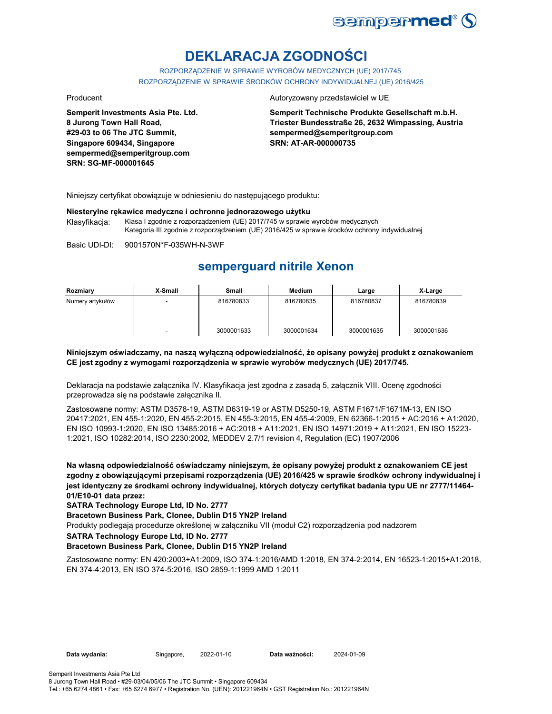

# **DEKLARACJA ZGODNOŚCI**

ROZPORZĄDZENIE W SPRAWIE WYROBÓW MEDYCZNYCH (UE) 2017/745 ROZPORZĄDZENIE W SPRAWIE ŚRODKÓW OCHRONY INDYWIDUALNEJ (UE) 2016/425

**Semperit Investments Asia Pte. Ltd. 8 Jurong Town Hall Road, #29-03 to 06 The JTC Summit, Singapore 609434, Singapore sempermed@semperitgroup.com SRN: SG-MF-000001645**

#### Producent **Autoryzowany przedstawiciel w UE**

**Semperit Technische Produkte Gesellschaft m.b.H. Triester Bundesstraße 26, 2632 Wimpassing, Austria sempermed@semperitgroup.com SRN: AT-AR-000000735**

Niniejszy certyfikat obowiązuje w odniesieniu do następującego produktu:

#### **Niesterylne rękawice medyczne i ochronne jednorazowego użytku**

Klasyfikacja: Klasa I zgodnie z rozporządzeniem (UE) 2017/745 w sprawie wyrobów medycznych Kategoria III zgodnie z rozporządzeniem (UE) 2016/425 w sprawie środków ochrony indywidualnej

Basic UDI-DI: 9001570N\*F-035WH-N-3WF

## **semperguard nitrile Xenon**

| Rozmiary         | X-Small | Small      | Medium     | Large      | X-Large    |
|------------------|---------|------------|------------|------------|------------|
| Numery artykułów |         | 816780833  | 816780835  | 816780837  | 816780839  |
|                  |         | 3000001633 | 3000001634 | 3000001635 | 3000001636 |

#### **Niniejszym oświadczamy, na naszą wyłączną odpowiedzialność, że opisany powyżej produkt z oznakowaniem CE jest zgodny z wymogami rozporządzenia w sprawie wyrobów medycznych (UE) 2017/745.**

Deklaracja na podstawie załącznika IV. Klasyfikacja jest zgodna z zasadą 5, załącznik VIII. Ocenę zgodności przeprowadza się na podstawie załącznika II.

Zastosowane normy: ASTM D3578-19, ASTM D6319-19 or ASTM D5250-19, ASTM F1671/F1671M-13, EN ISO 20417:2021, EN 455-1:2020, EN 455-2:2015, EN 455-3:2015, EN 455-4:2009, EN 62366-1:2015 + AC:2016 + A1:2020, EN ISO 10993-1:2020, EN ISO 13485:2016 + AC:2018 + A11:2021, EN ISO 14971:2019 + A11:2021, EN ISO 15223- 1:2021, ISO 10282:2014, ISO 2230:2002, MEDDEV 2.7/1 revision 4, Regulation (EC) 1907/2006

**Na własną odpowiedzialność oświadczamy niniejszym, że opisany powyżej produkt z oznakowaniem CE jest zgodny z obowiązującymi przepisami rozporządzenia (UE) 2016/425 w sprawie środków ochrony indywidualnej i jest identyczny ze środkami ochrony indywidualnej, których dotyczy certyfikat badania typu UE nr 2777/11464- 01/E10-01 data przez:**

**SATRA Technology Europe Ltd, ID No. 2777**

**Bracetown Business Park, Clonee, Dublin D15 YN2P Ireland**

Produkty podlegają procedurze określonej w załączniku VII (moduł C2) rozporządzenia pod nadzorem

**SATRA Technology Europe Ltd, ID No. 2777**

#### **Bracetown Business Park, Clonee, Dublin D15 YN2P Ireland**

Zastosowane normy: EN 420:2003+A1:2009, ISO 374-1:2016/AMD 1:2018, EN 374-2:2014, EN 16523-1:2015+A1:2018, EN 374-4:2013, EN ISO 374-5:2016, ISO 2859-1:1999 AMD 1:2011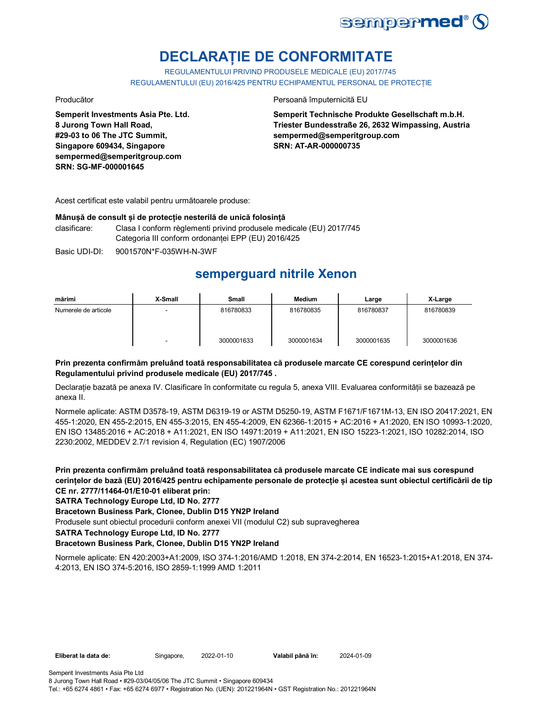

# **DECLARAȚIE DE CONFORMITATE**

REGULAMENTULUI PRIVIND PRODUSELE MEDICALE (EU) 2017/745 REGULAMENTULUI (EU) 2016/425 PENTRU ECHIPAMENTUL PERSONAL DE PROTECȚIE

**Semperit Investments Asia Pte. Ltd. 8 Jurong Town Hall Road, #29-03 to 06 The JTC Summit, Singapore 609434, Singapore sempermed@semperitgroup.com SRN: SG-MF-000001645**

Producător **Producător** Persoană împuternicită EU

**Semperit Technische Produkte Gesellschaft m.b.H. Triester Bundesstraße 26, 2632 Wimpassing, Austria sempermed@semperitgroup.com SRN: AT-AR-000000735**

Acest certificat este valabil pentru următoarele produse:

#### **Mânușă de consult și de protecție nesterilă de unică folosință**

clasificare: Clasa I conform règlementi privind produsele medicale (EU) 2017/745 Categoria III conform ordonanței EPP (EU) 2016/425

Basic UDI-DI: 9001570N\*F-035WH-N-3WF 9001570N\*F-035WH-N-3W

# **semperguard nitrile Xenon**

| mărimi               | X-Small | <b>Small</b> | <b>Medium</b> | Large      | X-Large    |
|----------------------|---------|--------------|---------------|------------|------------|
| Numerele de articole | -       | 816780833    | 816780835     | 816780837  | 816780839  |
|                      | ۰       | 3000001633   | 3000001634    | 3000001635 | 3000001636 |

### **Prin prezenta confirmăm preluând toată responsabilitatea că produsele marcate CE corespund cerințelor din Regulamentului privind produsele medicale (EU) 2017/745 .**

Declarație bazată pe anexa IV. Clasificare în conformitate cu regula 5, anexa VIII. Evaluarea conformității se bazează pe anexa II.

Normele aplicate: ASTM D3578-19, ASTM D6319-19 or ASTM D5250-19, ASTM F1671/F1671M-13, EN ISO 20417:2021, EN 455-1:2020, EN 455-2:2015, EN 455-3:2015, EN 455-4:2009, EN 62366-1:2015 + AC:2016 + A1:2020, EN ISO 10993-1:2020, EN ISO 13485:2016 + AC:2018 + A11:2021, EN ISO 14971:2019 + A11:2021, EN ISO 15223-1:2021, ISO 10282:2014, ISO 2230:2002, MEDDEV 2.7/1 revision 4, Regulation (EC) 1907/2006

**Prin prezenta confirmăm preluând toată responsabilitatea că produsele marcate CE indicate mai sus corespund cerințelor de bază (EU) 2016/425 pentru echipamente personale de protecție și acestea sunt obiectul certificării de tip CE nr. 2777/11464-01/E10-01 eliberat prin:**

**SATRA Technology Europe Ltd, ID No. 2777**

**Bracetown Business Park, Clonee, Dublin D15 YN2P Ireland**

Produsele sunt obiectul procedurii conform anexei VII (modulul C2) sub supravegherea

**SATRA Technology Europe Ltd, ID No. 2777**

### **Bracetown Business Park, Clonee, Dublin D15 YN2P Ireland**

Normele aplicate: EN 420:2003+A1:2009, ISO 374-1:2016/AMD 1:2018, EN 374-2:2014, EN 16523-1:2015+A1:2018, EN 374- 4:2013, EN ISO 374-5:2016, ISO 2859-1:1999 AMD 1:2011

**Eliberat la data de:** Singapore, 2022-01-10 **Valabil până în:** 2024-01-09

Tel.: +65 6274 4861 • Fax: +65 6274 6977 • Registration No. (UEN): 201221964N • GST Registration No.: 201221964N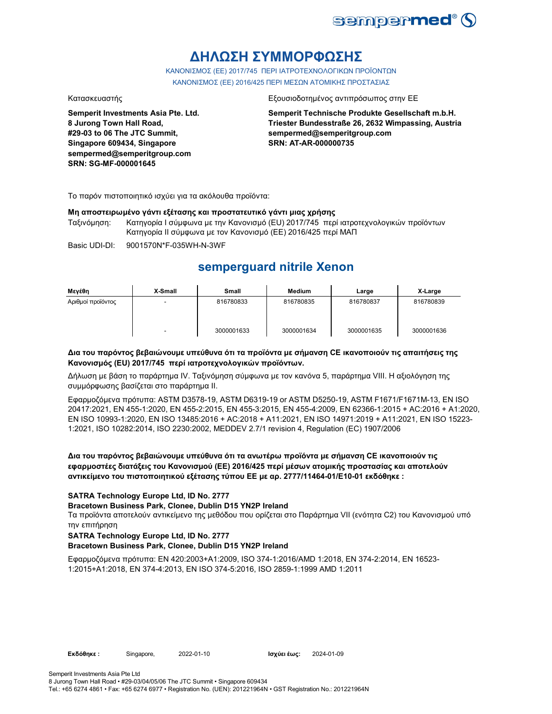

# **ΔΗΛΩΣΗ ΣΥΜΜΟΡΦΩΣΗΣ**

ΚΑΝΟΝΙΣΜΟΣ (EE) 2017/745 ΠΕΡΙ ΙΑΤΡΟΤΕΧΝΟΛΟΓΙΚΩΝ ΠΡΟΪΟΝΤΩΝ ΚΑΝΟΝΙΣΜΟΣ (ΕΕ) 2016/425 ΠΕΡΙ ΜΕΣΩΝ ΑΤΟΜΙΚΗΣ ΠΡΟΣΤΑΣΙΑΣ

**Semperit Investments Asia Pte. Ltd. 8 Jurong Town Hall Road, #29-03 to 06 The JTC Summit, Singapore 609434, Singapore sempermed@semperitgroup.com SRN: SG-MF-000001645**

#### Κατασκευαστής Εξουσιοδοτημένος αντιπρόσωπος στην ΕΕ

**Semperit Technische Produkte Gesellschaft m.b.H. Triester Bundesstraße 26, 2632 Wimpassing, Austria sempermed@semperitgroup.com SRN: AT-AR-000000735**

Το παρόν πιστοποιητικό ισχύει για τα ακόλουθα προϊόντα:

### **Μη αποστειρωμένο γάντι εξέτασης και προστατευτικό γάντι μιας χρήσης**

Ταξινόμηση: Κατηγορία I σύμφωνα με την Κανονισμό (EU) 2017/745 περί ιατροτεχνολογικών προϊόντων Κατηγορία II σύμφωνα με τον Κανονισμό (ΕΕ) 2016/425 περί ΜΑΠ

Basic UDI-DI: 9001570N\*F-035WH-N-3WF

## **semperguard nitrile Xenon**

| Μεγέθη            | X-Small | <b>Small</b> | <b>Medium</b> | Large      | X-Large    |
|-------------------|---------|--------------|---------------|------------|------------|
| Αριθμοί προϊόντος | -       | 816780833    | 816780835     | 816780837  | 816780839  |
|                   |         | 3000001633   | 3000001634    | 3000001635 | 3000001636 |

#### **Δια του παρόντος βεβαιώνουμε υπεύθυνα ότι τα προϊόντα με σήμανση CE ικανοποιούν τις απαιτήσεις της Κανονισμός (EU) 2017/745 περί ιατροτεχνολογικών προϊόντων.**

Δήλωση με βάση το παράρτημα IV. Ταξινόμηση σύμφωνα με τον κανόνα 5, παράρτημα VIII. Η αξιολόγηση της συμμόρφωσης βασίζεται στο παράρτημα II.

Εφαρμοζόμενα πρότυπα: ASTM D3578-19, ASTM D6319-19 or ASTM D5250-19, ASTM F1671/F1671M-13, EN ISO 20417:2021, EN 455-1:2020, EN 455-2:2015, EN 455-3:2015, EN 455-4:2009, EN 62366-1:2015 + AC:2016 + A1:2020, EN ISO 10993-1:2020, EN ISO 13485:2016 + AC:2018 + A11:2021, EN ISO 14971:2019 + A11:2021, EN ISO 15223- 1:2021, ISO 10282:2014, ISO 2230:2002, MEDDEV 2.7/1 revision 4, Regulation (EC) 1907/2006

**Δια του παρόντος βεβαιώνουμε υπεύθυνα ότι τα ανωτέρω προϊόντα με σήμανση CE ικανοποιούν τις εφαρμοστέες διατάξεις του Κανονισμού (ΕΕ) 2016/425 περί μέσων ατομικής προστασίας και αποτελούν αντικείμενο του πιστοποιητικού εξέτασης τύπου ΕΕ με αρ. 2777/11464-01/E10-01 εκδόθηκε :**

### **SATRA Technology Europe Ltd, ID No. 2777**

### **Bracetown Business Park, Clonee, Dublin D15 YN2P Ireland**

Τα προϊόντα αποτελούν αντικείμενο της μεθόδου που ορίζεται στο Παράρτημα VII (ενότητα C2) του Κανονισμού υπό την επιτήρηση

### **SATRA Technology Europe Ltd, ID No. 2777**

### **Bracetown Business Park, Clonee, Dublin D15 YN2P Ireland**

Εφαρμοζόμενα πρότυπα: EN 420:2003+A1:2009, ISO 374-1:2016/AMD 1:2018, EN 374-2:2014, EN 16523- 1:2015+A1:2018, EN 374-4:2013, EN ISO 374-5:2016, ISO 2859-1:1999 AMD 1:2011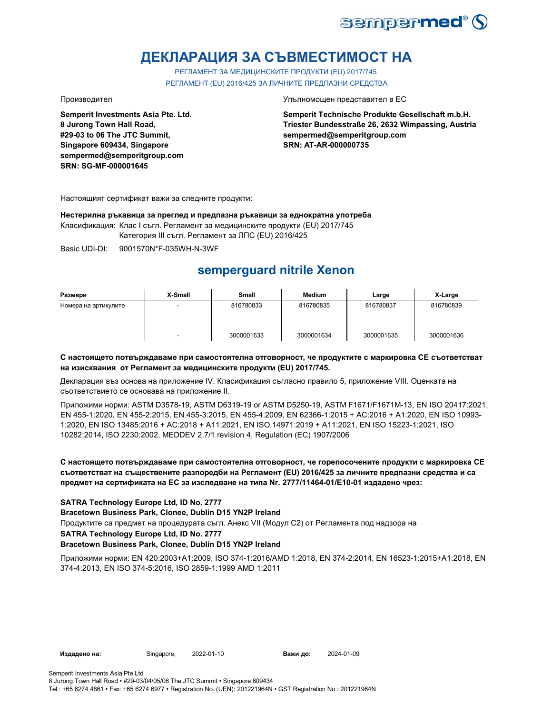

# **ДЕКЛАРАЦИЯ ЗА СЪВМЕСТИМОСТ НА**

РЕГЛАМЕНТ ЗА МЕДИЦИНСКИТЕ ПРОДУКТИ (EU) 2017/745 РЕГЛАМЕНТ (EU) 2016/425 ЗА ЛИЧНИТЕ ПРЕДПАЗНИ СРЕДСТВА

**Semperit Investments Asia Pte. Ltd. 8 Jurong Town Hall Road, #29-03 to 06 The JTC Summit, Singapore 609434, Singapore sempermed@semperitgroup.com SRN: SG-MF-000001645**

Производител Упълномощен представител в ЕС

**Semperit Technische Produkte Gesellschaft m.b.H. Triester Bundesstraße 26, 2632 Wimpassing, Austria sempermed@semperitgroup.com SRN: AT-AR-000000735**

Настоящият сертификат важи за следните продукти:

**Нестерилна ръкавица за преглед и предпазна ръкавици за еднократна употреба**

Класификация: Клас I съгл. Регламент за медицинските продукти (EU) 2017/745

Категория III съгл. Регламент за ЛПС (EU) 2016/425

Basic UDI-DI: 9001570N\*F-035WH-N-3WF

# **semperguard nitrile Xenon**

| Размери              | X-Small | <b>Small</b> | Medium     | Large      | X-Large    |
|----------------------|---------|--------------|------------|------------|------------|
| Номера на артикулите | $\sim$  | 816780833    | 816780835  | 816780837  | 816780839  |
|                      |         | 3000001633   | 3000001634 | 3000001635 | 3000001636 |

#### **С настоящето потвърждаваме при самостоятелна отговорност, че продуктите с маркировка СЕ съответстват на изисквания от Регламент за медицинските продукти (EU) 2017/745.**

Декларация въз основа на приложение IV. Класификация съгласно правило 5, приложение VIII. Оценката на съответствието се основава на приложение II.

Приложими норми: ASTM D3578-19, ASTM D6319-19 or ASTM D5250-19, ASTM F1671/F1671M-13, EN ISO 20417:2021, EN 455-1:2020, EN 455-2:2015, EN 455-3:2015, EN 455-4:2009, EN 62366-1:2015 + AC:2016 + A1:2020, EN ISO 10993- 1:2020, EN ISO 13485:2016 + AC:2018 + A11:2021, EN ISO 14971:2019 + A11:2021, EN ISO 15223-1:2021, ISO 10282:2014, ISO 2230:2002, MEDDEV 2.7/1 revision 4, Regulation (EC) 1907/2006

### **С настоящето потвърждаваме при самостоятелна отговорност, че горепосочените продукти с маркировка СЕ съответстват на съществените разпоредби на Регламент (EU) 2016/425 за личните предпазни средства и са предмет на сертификата на ЕС за изследване на типа Nr. 2777/11464-01/E10-01 издадено чрез:**

### **SATRA Technology Europe Ltd, ID No. 2777**

**Bracetown Business Park, Clonee, Dublin D15 YN2P Ireland**

Продуктите са предмет на процедурата съгл. Анекс VII (Модул С2) от Регламента под надзора на

### **SATRA Technology Europe Ltd, ID No. 2777**

### **Bracetown Business Park, Clonee, Dublin D15 YN2P Ireland**

Приложими норми: EN 420:2003+A1:2009, ISO 374-1:2016/AMD 1:2018, EN 374-2:2014, EN 16523-1:2015+A1:2018, EN 374-4:2013, EN ISO 374-5:2016, ISO 2859-1:1999 AMD 1:2011

**Издадено на:** Singapore, 2022-01-10 **Важи до:** 2024-01-09